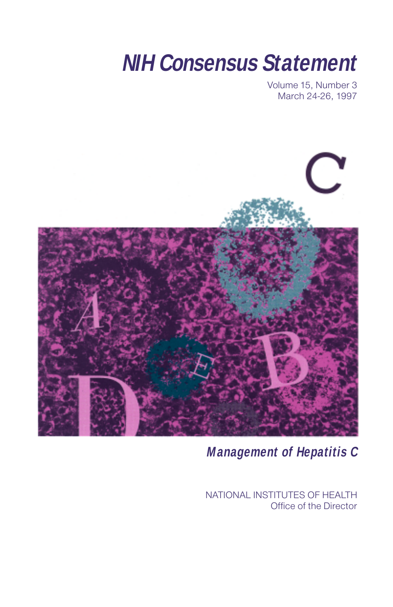# **NIH Consensus Statement**

Volume 15, Number 3 March 24-26, 1997



**Management of Hepatitis C** 

NATIONAL INSTITUTES OF HEALTH Office of the Director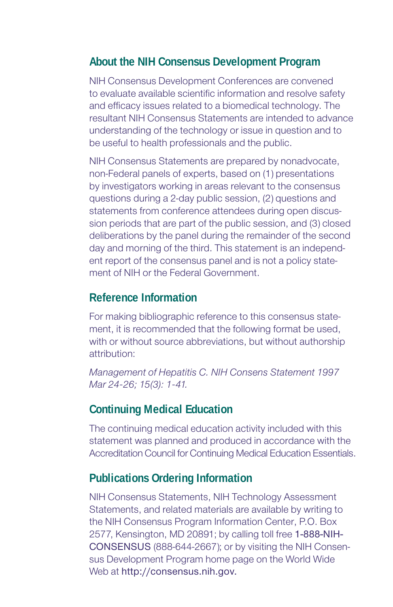### **About the NIH Consensus Development Program**

NIH Consensus Development Conferences are convened to evaluate available scientific information and resolve safety and efficacy issues related to a biomedical technology. The resultant NIH Consensus Statements are intended to advance understanding of the technology or issue in question and to be useful to health professionals and the public.

NIH Consensus Statements are prepared by nonadvocate, non-Federal panels of experts, based on (1) presentations by investigators working in areas relevant to the consensus questions during a 2-day public session, (2) questions and statements from conference attendees during open discussion periods that are part of the public session, and (3) closed deliberations by the panel during the remainder of the second day and morning of the third. This statement is an independent report of the consensus panel and is not a policy statement of NIH or the Federal Government.

### **Reference Information**

For making bibliographic reference to this consensus statement, it is recommended that the following format be used, with or without source abbreviations, but without authorship attribution:

Management of Hepatitis C. NIH Consens Statement 1997 Mar 24-26; 15(3): 1-41.

### **Continuing Medical Education**

The continuing medical education activity included with this statement was planned and produced in accordance with the Accreditation Council for Continuing Medical Education Essentials.

### **Publications Ordering Information**

NIH Consensus Statements, NIH Technology Assessment Statements, and related materials are available by writing to the NIH Consensus Program Information Center, P.O. Box 2577, Kensington, MD 20891; by calling toll free 1-888-NIH-CONSENSUS (888-644-2667); or by visiting the NIH Consensus Development Program home page on the World Wide Web at http://consensus.nih.gov.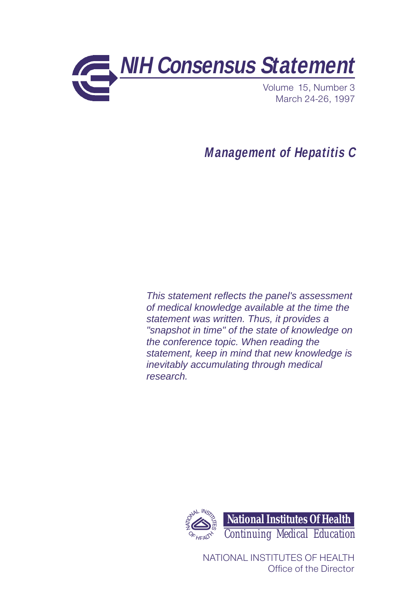

**Management of Hepatitis C** 

This statement reflects the panel's assessment of medical knowledge available at the time the statement was written. Thus, it provides a "snapshot in time" of the state of knowledge on the conference topic. When reading the statement, keep in mind that new knowledge is inevitably accumulating through medical research.



NATIONAL INSTITUTES OF HEALTH Office of the Director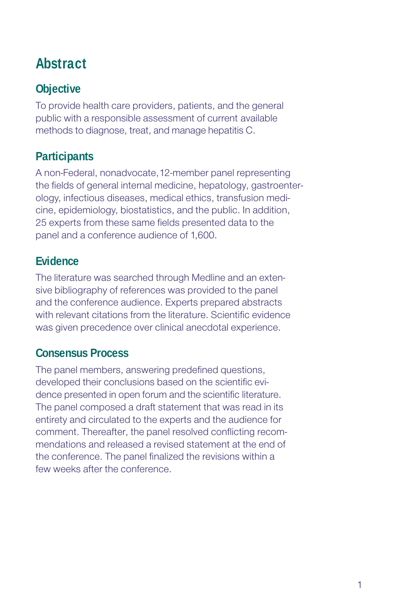## **Abstract**

## **Objective**

To provide health care providers, patients, and the general public with a responsible assessment of current available methods to diagnose, treat, and manage hepatitis C.

## **Participants**

A non-Federal, nonadvocate, 12-member panel representing the fields of general internal medicine, hepatology, gastroenterology, infectious diseases, medical ethics, transfusion medicine, epidemiology, biostatistics, and the public. In addition, 25 experts from these same fields presented data to the panel and a conference audience of 1,600.

## **Evidence**

The literature was searched through Medline and an extensive bibliography of references was provided to the panel and the conference audience. Experts prepared abstracts with relevant citations from the literature. Scientific evidence was given precedence over clinical anecdotal experience.

### **Consensus Process**

The panel members, answering predefined questions, developed their conclusions based on the scientific evidence presented in open forum and the scientific literature. The panel composed a draft statement that was read in its entirety and circulated to the experts and the audience for comment. Thereafter, the panel resolved conflicting recommendations and released a revised statement at the end of the conference. The panel finalized the revisions within a few weeks after the conference.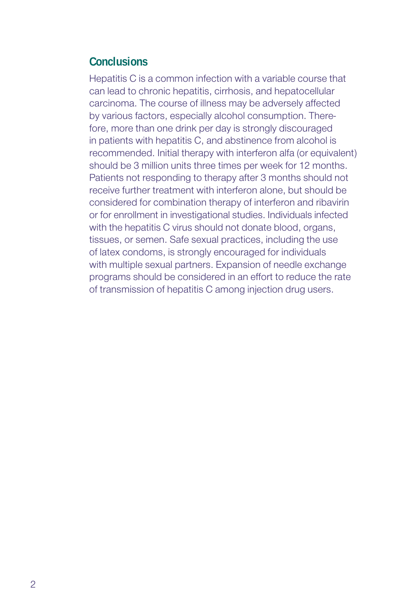### **Conclusions**

Hepatitis C is a common infection with a variable course that can lead to chronic hepatitis, cirrhosis, and hepatocellular carcinoma. The course of illness may be adversely affected by various factors, especially alcohol consumption. Therefore, more than one drink per day is strongly discouraged in patients with hepatitis C, and abstinence from alcohol is recommended. Initial therapy with interferon alfa (or equivalent) should be 3 million units three times per week for 12 months. Patients not responding to therapy after 3 months should not receive further treatment with interferon alone, but should be considered for combination therapy of interferon and ribavirin or for enrollment in investigational studies. Individuals infected with the hepatitis C virus should not donate blood, organs, tissues, or semen. Safe sexual practices, including the use of latex condoms, is strongly encouraged for individuals with multiple sexual partners. Expansion of needle exchange programs should be considered in an effort to reduce the rate of transmission of hepatitis C among injection drug users.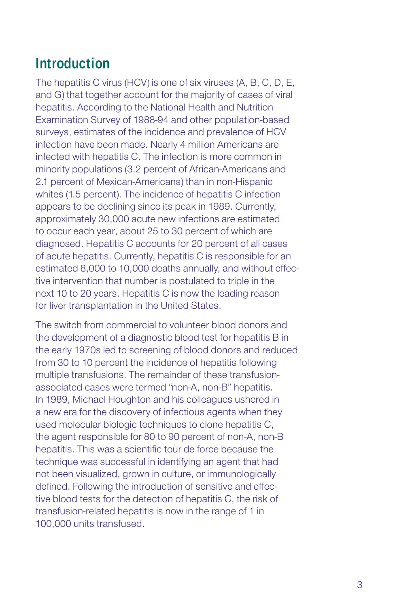## **Introduction**

The hepatitis C virus (HCV) is one of six viruses (A, B, C, D, E, and G) that together account for the majority of cases of viral hepatitis. According to the National Health and Nutrition Examination Survey of 1988-94 and other population-based surveys, estimates of the incidence and prevalence of HCV infection have been made. Nearly 4 million Americans are infected with hepatitis C. The infection is more common in minority populations (3.2 percent of African-Americans and 2.1 percent of Mexican-Americans) than in non-Hispanic whites (1.5 percent). The incidence of hepatitis C infection appears to be declining since its peak in 1989. Currently, approximately 30,000 acute new infections are estimated to occur each year, about 25 to 30 percent of which are diagnosed. Hepatitis C accounts for 20 percent of all cases of acute hepatitis. Currently, hepatitis C is responsible for an estimated 8,000 to 10,000 deaths annually, and without effective intervention that number is postulated to triple in the next 10 to 20 years. Hepatitis C is now the leading reason for liver transplantation in the United States.

The switch from commercial to volunteer blood donors and the development of a diagnostic blood test for hepatitis B in the early 1970s led to screening of blood donors and reduced from 30 to 10 percent the incidence of hepatitis following multiple transfusions. The remainder of these transfusionassociated cases were termed "non-A, non-B" hepatitis. In 1989, Michael Houghton and his colleagues ushered in a new era for the discovery of infectious agents when they used molecular biologic techniques to clone hepatitis C, the agent responsible for 80 to 90 percent of non-A, non-B hepatitis. This was a scientific tour de force because the technique was successful in identifying an agent that had not been visualized, grown in culture, or immunologically defined. Following the introduction of sensitive and effective blood tests for the detection of hepatitis C, the risk of transfusion-related hepatitis is now in the range of 1 in 100,000 units transfused.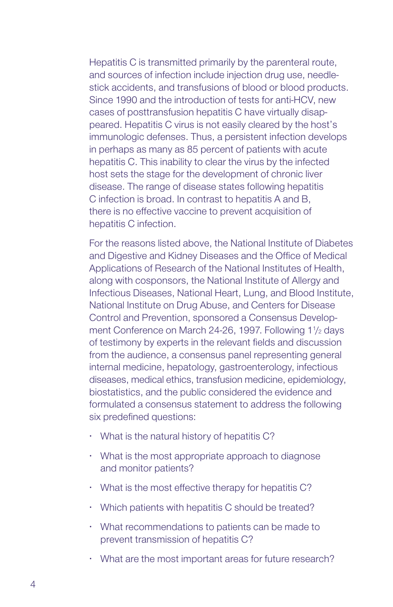Hepatitis C is transmitted primarily by the parenteral route, and sources of infection include injection drug use, needlestick accidents, and transfusions of blood or blood products. Since 1990 and the introduction of tests for anti-HCV, new cases of posttransfusion hepatitis C have virtually disappeared. Hepatitis C virus is not easily cleared by the host's immunologic defenses. Thus, a persistent infection develops in perhaps as many as 85 percent of patients with acute hepatitis C. This inability to clear the virus by the infected host sets the stage for the development of chronic liver disease. The range of disease states following hepatitis C infection is broad. In contrast to hepatitis A and B, there is no effective vaccine to prevent acquisition of hepatitis C infection.

For the reasons listed above, the National Institute of Diabetes and Digestive and Kidney Diseases and the Office of Medical Applications of Research of the National Institutes of Health, along with cosponsors, the National Institute of Allergy and Infectious Diseases, National Heart, Lung, and Blood Institute, National Institute on Drug Abuse, and Centers for Disease Control and Prevention, sponsored a Consensus Development Conference on March 24-26, 1997. Following 11/2 days of testimony by experts in the relevant fields and discussion from the audience, a consensus panel representing general internal medicine, hepatology, gastroenterology, infectious diseases, medical ethics, transfusion medicine, epidemiology, biostatistics, and the public considered the evidence and formulated a consensus statement to address the following six predefined questions:

- $\cdot$  What is the natural history of hepatitis C?
- $\cdot$  What is the most appropriate approach to diagnose and monitor patients?
- $\cdot$  What is the most effective therapy for hepatitis C?
- Which patients with hepatitis C should be treated?
- What recommendations to patients can be made to prevent transmission of hepatitis C?
- What are the most important areas for future research?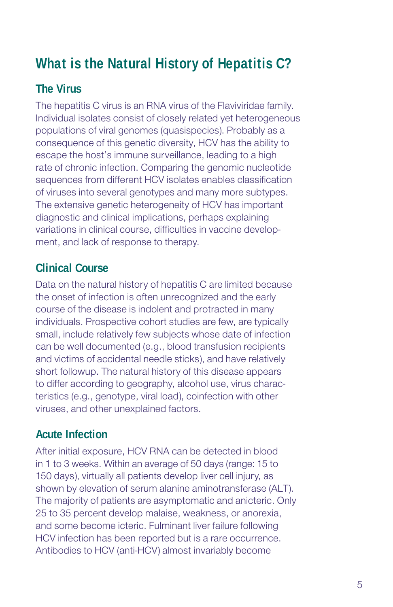## **What is the Natural History of Hepatitis C?**

## **The Virus**

The hepatitis C virus is an RNA virus of the Flaviviridae family. Individual isolates consist of closely related yet heterogeneous populations of viral genomes (quasispecies). Probably as a consequence of this genetic diversity, HCV has the ability to escape the host's immune surveillance, leading to a high rate of chronic infection. Comparing the genomic nucleotide sequences from different HCV isolates enables classification of viruses into several genotypes and many more subtypes. The extensive genetic heterogeneity of HCV has important diagnostic and clinical implications, perhaps explaining variations in clinical course, difficulties in vaccine development, and lack of response to therapy.

## **Clinical Course**

Data on the natural history of hepatitis C are limited because the onset of infection is often unrecognized and the early course of the disease is indolent and protracted in many individuals. Prospective cohort studies are few, are typically small, include relatively few subjects whose date of infection can be well documented (e.g., blood transfusion recipients and victims of accidental needle sticks), and have relatively short followup. The natural history of this disease appears to differ according to geography, alcohol use, virus characteristics (e.g., genotype, viral load), coinfection with other viruses, and other unexplained factors.

### **Acute Infection**

 in 1 to 3 weeks. Within an average of 50 days (range: 15 to After initial exposure, HCV RNA can be detected in blood 150 days), virtually all patients develop liver cell injury, as shown by elevation of serum alanine aminotransferase (ALT). The majority of patients are asymptomatic and anicteric. Only 25 to 35 percent develop malaise, weakness, or anorexia, and some become icteric. Fulminant liver failure following HCV infection has been reported but is a rare occurrence. Antibodies to HCV (anti-HCV) almost invariably become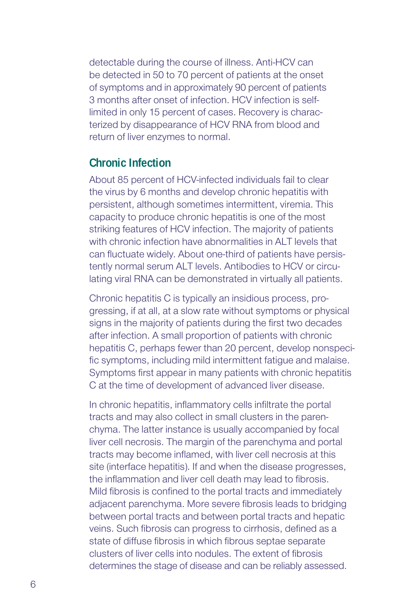detectable during the course of illness. Anti-HCV can be detected in 50 to 70 percent of patients at the onset of symptoms and in approximately 90 percent of patients 3 months after onset of infection. HCV infection is selflimited in only 15 percent of cases. Recovery is characterized by disappearance of HCV RNA from blood and return of liver enzymes to normal.

### **Chronic Infection**

About 85 percent of HCV-infected individuals fail to clear the virus by 6 months and develop chronic hepatitis with persistent, although sometimes intermittent, viremia. This capacity to produce chronic hepatitis is one of the most striking features of HCV infection. The majority of patients with chronic infection have abnormalities in ALT levels that can fluctuate widely. About one-third of patients have persistently normal serum ALT levels. Antibodies to HCV or circulating viral RNA can be demonstrated in virtually all patients.

Chronic hepatitis C is typically an insidious process, progressing, if at all, at a slow rate without symptoms or physical signs in the majority of patients during the first two decades after infection. A small proportion of patients with chronic hepatitis C, perhaps fewer than 20 percent, develop nonspecific symptoms, including mild intermittent fatigue and malaise. Symptoms first appear in many patients with chronic hepatitis C at the time of development of advanced liver disease.

In chronic hepatitis, inflammatory cells infiltrate the portal tracts and may also collect in small clusters in the parenchyma. The latter instance is usually accompanied by focal liver cell necrosis. The margin of the parenchyma and portal tracts may become inflamed, with liver cell necrosis at this site (interface hepatitis). If and when the disease progresses, the inflammation and liver cell death may lead to fibrosis. Mild fibrosis is confined to the portal tracts and immediately adjacent parenchyma. More severe fibrosis leads to bridging between portal tracts and between portal tracts and hepatic veins. Such fibrosis can progress to cirrhosis, defined as a state of diffuse fibrosis in which fibrous septae separate clusters of liver cells into nodules. The extent of fibrosis determines the stage of disease and can be reliably assessed.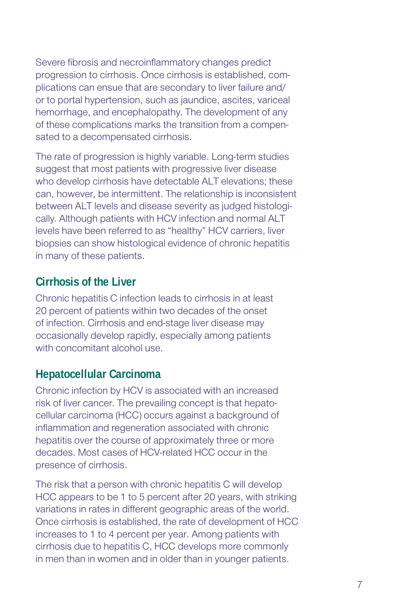Severe fibrosis and necroinflammatory changes predict progression to cirrhosis. Once cirrhosis is established, complications can ensue that are secondary to liver failure and/ or to portal hypertension, such as jaundice, ascites, variceal hemorrhage, and encephalopathy. The development of any of these complications marks the transition from a compensated to a decompensated cirrhosis.

The rate of progression is highly variable. Long-term studies suggest that most patients with progressive liver disease who develop cirrhosis have detectable ALT elevations; these can, however, be intermittent. The relationship is inconsistent between ALT levels and disease severity as judged histologically. Although patients with HCV infection and normal ALT levels have been referred to as "healthy" HCV carriers, liver biopsies can show histological evidence of chronic hepatitis in many of these patients.

### **Cirrhosis of the Liver**

Chronic hepatitis C infection leads to cirrhosis in at least 20 percent of patients within two decades of the onset of infection. Cirrhosis and end-stage liver disease may occasionally develop rapidly, especially among patients with concomitant alcohol use.

### **Hepatocellular Carcinoma**

Chronic infection by HCV is associated with an increased risk of liver cancer. The prevailing concept is that hepatocellular carcinoma (HCC) occurs against a background of inflammation and regeneration associated with chronic hepatitis over the course of approximately three or more decades. Most cases of HCV-related HCC occur in the presence of cirrhosis.

The risk that a person with chronic hepatitis C will develop HCC appears to be 1 to 5 percent after 20 years, with striking variations in rates in different geographic areas of the world. Once cirrhosis is established, the rate of development of HCC increases to 1 to 4 percent per year. Among patients with cirrhosis due to hepatitis C, HCC develops more commonly in men than in women and in older than in younger patients.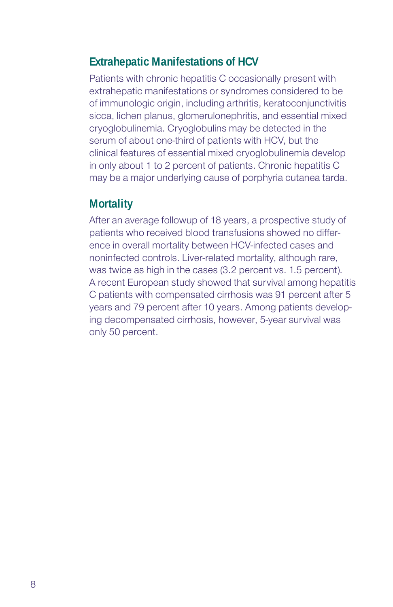### **Extrahepatic Manifestations of HCV**

Patients with chronic hepatitis C occasionally present with extrahepatic manifestations or syndromes considered to be of immunologic origin, including arthritis, keratoconjunctivitis sicca, lichen planus, glomerulonephritis, and essential mixed cryoglobulinemia. Cryoglobulins may be detected in the serum of about one-third of patients with HCV, but the clinical features of essential mixed cryoglobulinemia develop in only about 1 to 2 percent of patients. Chronic hepatitis C may be a major underlying cause of porphyria cutanea tarda.

### **Mortality**

After an average followup of 18 years, a prospective study of patients who received blood transfusions showed no difference in overall mortality between HCV-infected cases and noninfected controls. Liver-related mortality, although rare, was twice as high in the cases (3.2 percent vs. 1.5 percent). A recent European study showed that survival among hepatitis C patients with compensated cirrhosis was 91 percent after 5 years and 79 percent after 10 years. Among patients developing decompensated cirrhosis, however, 5-year survival was only 50 percent.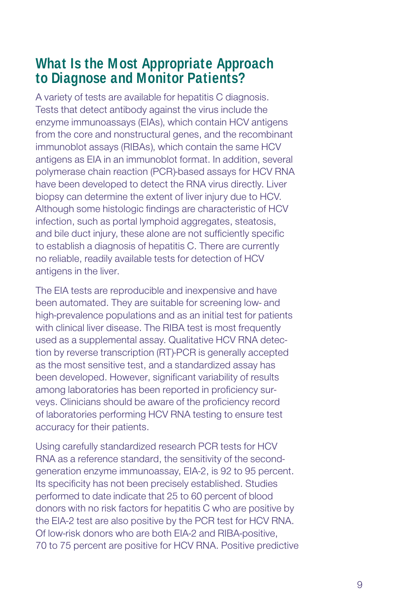## **What Is the Most Appropriate Approach to Diagnose and Monitor Patients?**

A variety of tests are available for hepatitis C diagnosis. Tests that detect antibody against the virus include the enzyme immunoassays (EIAs), which contain HCV antigens from the core and nonstructural genes, and the recombinant immunoblot assays (RIBAs), which contain the same HCV antigens as EIA in an immunoblot format. In addition, several polymerase chain reaction (PCR)-based assays for HCV RNA have been developed to detect the RNA virus directly. Liver biopsy can determine the extent of liver injury due to HCV. Although some histologic findings are characteristic of HCV infection, such as portal lymphoid aggregates, steatosis, and bile duct injury, these alone are not sufficiently specific to establish a diagnosis of hepatitis C. There are currently no reliable, readily available tests for detection of HCV antigens in the liver.

The EIA tests are reproducible and inexpensive and have been automated. They are suitable for screening low- and high-prevalence populations and as an initial test for patients with clinical liver disease. The RIBA test is most frequently used as a supplemental assay. Qualitative HCV RNA detection by reverse transcription (RT)-PCR is generally accepted as the most sensitive test, and a standardized assay has been developed. However, significant variability of results among laboratories has been reported in proficiency surveys. Clinicians should be aware of the proficiency record of laboratories performing HCV RNA testing to ensure test accuracy for their patients.

 performed to date indicate that 25 to 60 percent of blood Using carefully standardized research PCR tests for HCV RNA as a reference standard, the sensitivity of the secondgeneration enzyme immunoassay, EIA-2, is 92 to 95 percent. Its specificity has not been precisely established. Studies donors with no risk factors for hepatitis C who are positive by the EIA-2 test are also positive by the PCR test for HCV RNA. Of low-risk donors who are both EIA-2 and RIBA-positive, 70 to 75 percent are positive for HCV RNA. Positive predictive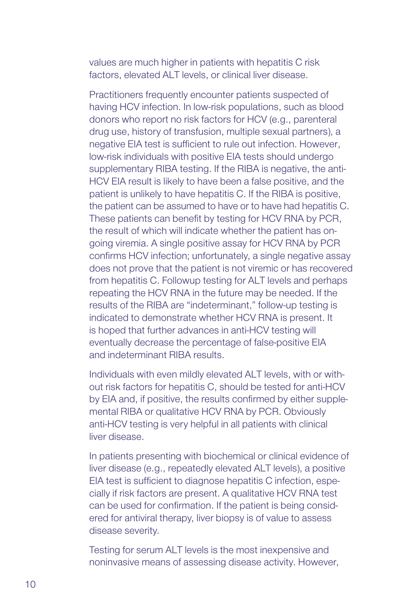values are much higher in patients with hepatitis C risk factors, elevated ALT levels, or clinical liver disease.

Practitioners frequently encounter patients suspected of having HCV infection. In low-risk populations, such as blood donors who report no risk factors for HCV (e.g., parenteral drug use, history of transfusion, multiple sexual partners), a negative EIA test is sufficient to rule out infection. However, low-risk individuals with positive EIA tests should undergo supplementary RIBA testing. If the RIBA is negative, the anti-HCV EIA result is likely to have been a false positive, and the patient is unlikely to have hepatitis C. If the RIBA is positive, the patient can be assumed to have or to have had hepatitis C. These patients can benefit by testing for HCV RNA by PCR, the result of which will indicate whether the patient has ongoing viremia. A single positive assay for HCV RNA by PCR confirms HCV infection; unfortunately, a single negative assay does not prove that the patient is not viremic or has recovered from hepatitis C. Followup testing for ALT levels and perhaps repeating the HCV RNA in the future may be needed. If the results of the RIBA are "indeterminant," follow-up testing is indicated to demonstrate whether HCV RNA is present. It is hoped that further advances in anti-HCV testing will eventually decrease the percentage of false-positive EIA and indeterminant RIBA results.

Individuals with even mildly elevated ALT levels, with or without risk factors for hepatitis C, should be tested for anti-HCV by EIA and, if positive, the results confirmed by either supplemental RIBA or qualitative HCV RNA by PCR. Obviously anti-HCV testing is very helpful in all patients with clinical liver disease.

In patients presenting with biochemical or clinical evidence of liver disease (e.g., repeatedly elevated ALT levels), a positive EIA test is sufficient to diagnose hepatitis C infection, especially if risk factors are present. A qualitative HCV RNA test can be used for confirmation. If the patient is being considered for antiviral therapy, liver biopsy is of value to assess disease severity.

Testing for serum ALT levels is the most inexpensive and noninvasive means of assessing disease activity. However,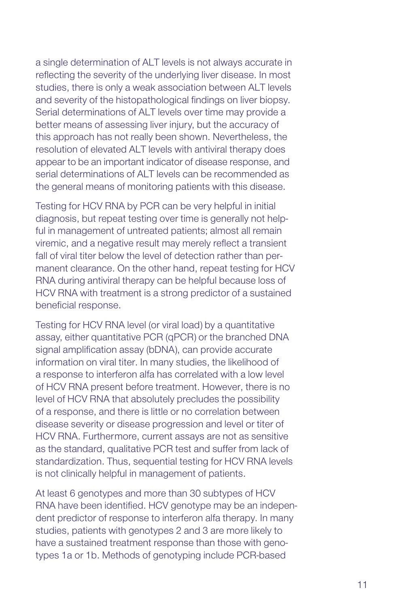a single determination of ALT levels is not always accurate in reflecting the severity of the underlying liver disease. In most studies, there is only a weak association between ALT levels and severity of the histopathological findings on liver biopsy. Serial determinations of ALT levels over time may provide a better means of assessing liver injury, but the accuracy of this approach has not really been shown. Nevertheless, the resolution of elevated ALT levels with antiviral therapy does appear to be an important indicator of disease response, and serial determinations of ALT levels can be recommended as the general means of monitoring patients with this disease.

Testing for HCV RNA by PCR can be very helpful in initial diagnosis, but repeat testing over time is generally not helpful in management of untreated patients; almost all remain viremic, and a negative result may merely reflect a transient fall of viral titer below the level of detection rather than permanent clearance. On the other hand, repeat testing for HCV RNA during antiviral therapy can be helpful because loss of HCV RNA with treatment is a strong predictor of a sustained beneficial response.

Testing for HCV RNA level (or viral load) by a quantitative assay, either quantitative PCR (qPCR) or the branched DNA signal amplification assay (bDNA), can provide accurate information on viral titer. In many studies, the likelihood of a response to interferon alfa has correlated with a low level of HCV RNA present before treatment. However, there is no level of HCV RNA that absolutely precludes the possibility of a response, and there is little or no correlation between disease severity or disease progression and level or titer of HCV RNA. Furthermore, current assays are not as sensitive as the standard, qualitative PCR test and suffer from lack of standardization. Thus, sequential testing for HCV RNA levels is not clinically helpful in management of patients.

At least 6 genotypes and more than 30 subtypes of HCV RNA have been identified. HCV genotype may be an independent predictor of response to interferon alfa therapy. In many studies, patients with genotypes 2 and 3 are more likely to have a sustained treatment response than those with genotypes 1a or 1b. Methods of genotyping include PCR-based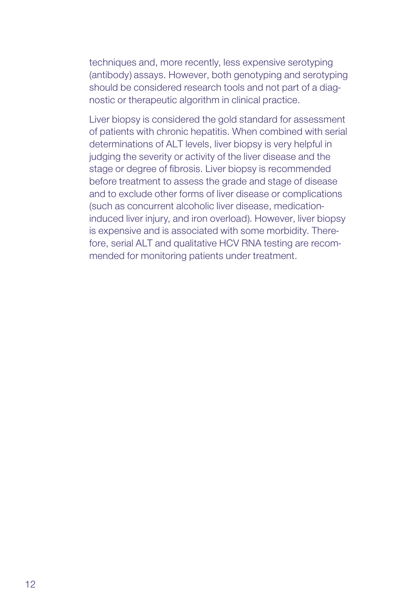techniques and, more recently, less expensive serotyping (antibody) assays. However, both genotyping and serotyping should be considered research tools and not part of a diagnostic or therapeutic algorithm in clinical practice.

Liver biopsy is considered the gold standard for assessment of patients with chronic hepatitis. When combined with serial determinations of ALT levels, liver biopsy is very helpful in judging the severity or activity of the liver disease and the stage or degree of fibrosis. Liver biopsy is recommended before treatment to assess the grade and stage of disease and to exclude other forms of liver disease or complications (such as concurrent alcoholic liver disease, medicationinduced liver injury, and iron overload). However, liver biopsy is expensive and is associated with some morbidity. Therefore, serial ALT and qualitative HCV RNA testing are recommended for monitoring patients under treatment.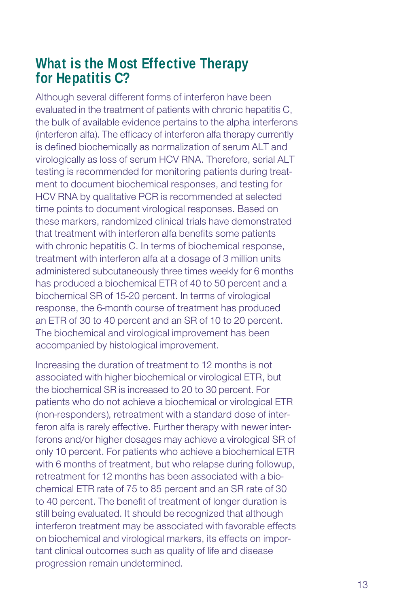## **What is the Most Effective Therapy for Hepatitis C?**

Although several different forms of interferon have been evaluated in the treatment of patients with chronic hepatitis C, the bulk of available evidence pertains to the alpha interferons (interferon alfa). The efficacy of interferon alfa therapy currently is defined biochemically as normalization of serum ALT and virologically as loss of serum HCV RNA. Therefore, serial ALT testing is recommended for monitoring patients during treatment to document biochemical responses, and testing for HCV RNA by qualitative PCR is recommended at selected time points to document virological responses. Based on these markers, randomized clinical trials have demonstrated that treatment with interferon alfa benefits some patients with chronic hepatitis C. In terms of biochemical response, treatment with interferon alfa at a dosage of 3 million units administered subcutaneously three times weekly for 6 months has produced a biochemical ETR of 40 to 50 percent and a biochemical SR of 15-20 percent. In terms of virological response, the 6-month course of treatment has produced an ETR of 30 to 40 percent and an SR of 10 to 20 percent. The biochemical and virological improvement has been accompanied by histological improvement.

 the biochemical SR is increased to 20 to 30 percent. For Increasing the duration of treatment to 12 months is not associated with higher biochemical or virological ETR, but patients who do not achieve a biochemical or virological ETR (non-responders), retreatment with a standard dose of interferon alfa is rarely effective. Further therapy with newer interferons and/or higher dosages may achieve a virological SR of only 10 percent. For patients who achieve a biochemical ETR with 6 months of treatment, but who relapse during followup, retreatment for 12 months has been associated with a biochemical ETR rate of 75 to 85 percent and an SR rate of 30 to 40 percent. The benefit of treatment of longer duration is still being evaluated. It should be recognized that although interferon treatment may be associated with favorable effects on biochemical and virological markers, its effects on important clinical outcomes such as quality of life and disease progression remain undetermined.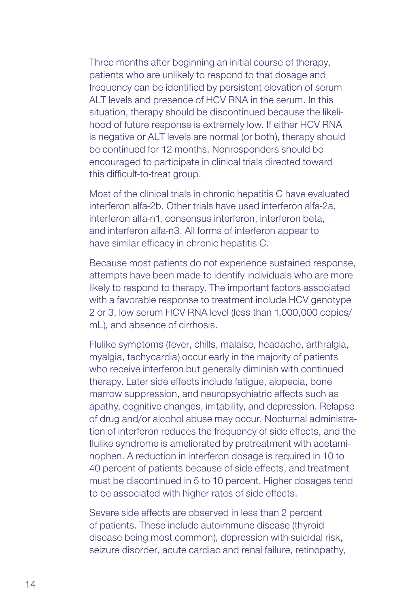Three months after beginning an initial course of therapy, patients who are unlikely to respond to that dosage and frequency can be identified by persistent elevation of serum ALT levels and presence of HCV RNA in the serum. In this situation, therapy should be discontinued because the likelihood of future response is extremely low. If either HCV RNA is negative or ALT levels are normal (or both), therapy should be continued for 12 months. Nonresponders should be encouraged to participate in clinical trials directed toward this difficult-to-treat group.

Most of the clinical trials in chronic hepatitis C have evaluated interferon alfa-2b. Other trials have used interferon alfa-2a, interferon alfa-n1, consensus interferon, interferon beta, and interferon alfa-n3. All forms of interferon appear to have similar efficacy in chronic hepatitis C.

Because most patients do not experience sustained response, attempts have been made to identify individuals who are more likely to respond to therapy. The important factors associated with a favorable response to treatment include HCV genotype 2 or 3, low serum HCV RNA level (less than 1,000,000 copies/ mL), and absence of cirrhosis.

Flulike symptoms (fever, chills, malaise, headache, arthralgia, myalgia, tachycardia) occur early in the majority of patients who receive interferon but generally diminish with continued therapy. Later side effects include fatigue, alopecia, bone marrow suppression, and neuropsychiatric effects such as apathy, cognitive changes, irritability, and depression. Relapse of drug and/or alcohol abuse may occur. Nocturnal administration of interferon reduces the frequency of side effects, and the flulike syndrome is ameliorated by pretreatment with acetaminophen. A reduction in interferon dosage is required in 10 to 40 percent of patients because of side effects, and treatment must be discontinued in 5 to 10 percent. Higher dosages tend to be associated with higher rates of side effects.

Severe side effects are observed in less than 2 percent of patients. These include autoimmune disease (thyroid disease being most common), depression with suicidal risk, seizure disorder, acute cardiac and renal failure, retinopathy,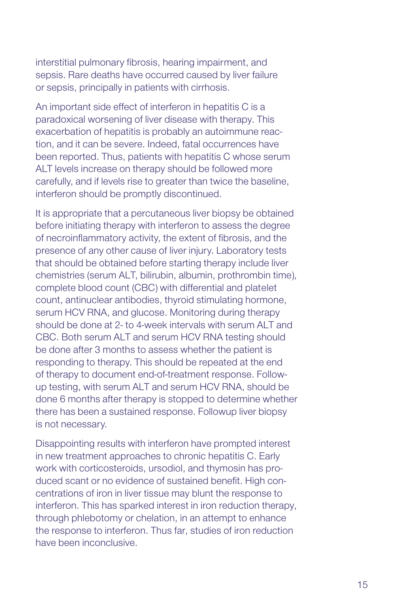interstitial pulmonary fibrosis, hearing impairment, and sepsis. Rare deaths have occurred caused by liver failure or sepsis, principally in patients with cirrhosis.

An important side effect of interferon in hepatitis C is a paradoxical worsening of liver disease with therapy. This exacerbation of hepatitis is probably an autoimmune reaction, and it can be severe. Indeed, fatal occurrences have been reported. Thus, patients with hepatitis C whose serum ALT levels increase on therapy should be followed more carefully, and if levels rise to greater than twice the baseline, interferon should be promptly discontinued.

It is appropriate that a percutaneous liver biopsy be obtained before initiating therapy with interferon to assess the degree of necroinflammatory activity, the extent of fibrosis, and the presence of any other cause of liver injury. Laboratory tests that should be obtained before starting therapy include liver chemistries (serum ALT, bilirubin, albumin, prothrombin time), complete blood count (CBC) with differential and platelet count, antinuclear antibodies, thyroid stimulating hormone, serum HCV RNA, and glucose. Monitoring during therapy should be done at 2- to 4-week intervals with serum ALT and CBC. Both serum ALT and serum HCV RNA testing should be done after 3 months to assess whether the patient is responding to therapy. This should be repeated at the end of therapy to document end-of-treatment response. Followup testing, with serum ALT and serum HCV RNA, should be done 6 months after therapy is stopped to determine whether there has been a sustained response. Followup liver biopsy is not necessary.

Disappointing results with interferon have prompted interest in new treatment approaches to chronic hepatitis C. Early work with corticosteroids, ursodiol, and thymosin has produced scant or no evidence of sustained benefit. High concentrations of iron in liver tissue may blunt the response to interferon. This has sparked interest in iron reduction therapy, through phlebotomy or chelation, in an attempt to enhance the response to interferon. Thus far, studies of iron reduction have been inconclusive.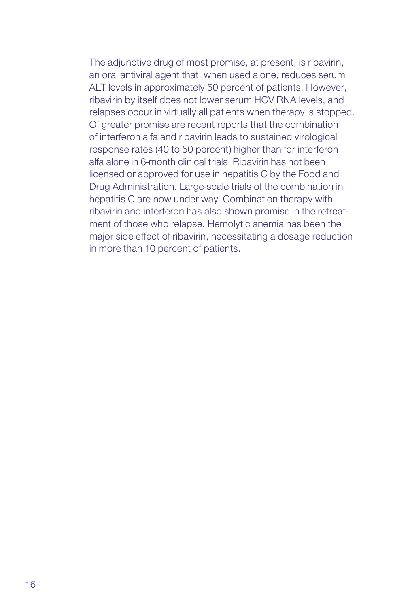The adjunctive drug of most promise, at present, is ribavirin, an oral antiviral agent that, when used alone, reduces serum ALT levels in approximately 50 percent of patients. However, ribavirin by itself does not lower serum HCV RNA levels, and relapses occur in virtually all patients when therapy is stopped. Of greater promise are recent reports that the combination of interferon alfa and ribavirin leads to sustained virological response rates (40 to 50 percent) higher than for interferon alfa alone in 6-month clinical trials. Ribavirin has not been licensed or approved for use in hepatitis C by the Food and Drug Administration. Large-scale trials of the combination in hepatitis C are now under way. Combination therapy with ribavirin and interferon has also shown promise in the retreatment of those who relapse. Hemolytic anemia has been the major side effect of ribavirin, necessitating a dosage reduction in more than 10 percent of patients.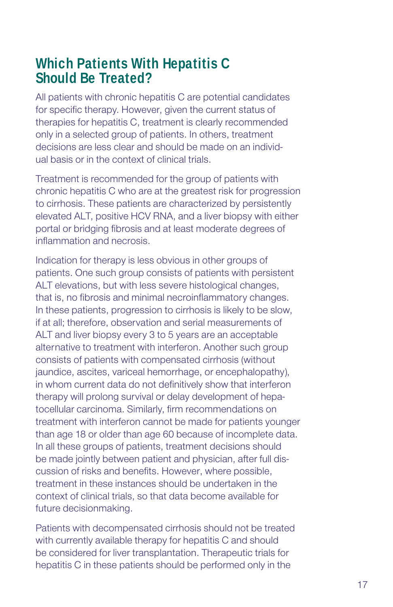## **Which Patients With Hepatitis C Should Be Treated?**

All patients with chronic hepatitis C are potential candidates for specific therapy. However, given the current status of therapies for hepatitis C, treatment is clearly recommended only in a selected group of patients. In others, treatment decisions are less clear and should be made on an individual basis or in the context of clinical trials.

Treatment is recommended for the group of patients with chronic hepatitis C who are at the greatest risk for progression to cirrhosis. These patients are characterized by persistently elevated ALT, positive HCV RNA, and a liver biopsy with either portal or bridging fibrosis and at least moderate degrees of inflammation and necrosis.

Indication for therapy is less obvious in other groups of patients. One such group consists of patients with persistent ALT elevations, but with less severe histological changes, that is, no fibrosis and minimal necroinflammatory changes. In these patients, progression to cirrhosis is likely to be slow, if at all; therefore, observation and serial measurements of ALT and liver biopsy every 3 to 5 years are an acceptable alternative to treatment with interferon. Another such group consists of patients with compensated cirrhosis (without jaundice, ascites, variceal hemorrhage, or encephalopathy), in whom current data do not definitively show that interferon therapy will prolong survival or delay development of hepatocellular carcinoma. Similarly, firm recommendations on treatment with interferon cannot be made for patients younger than age 18 or older than age 60 because of incomplete data. In all these groups of patients, treatment decisions should be made jointly between patient and physician, after full discussion of risks and benefits. However, where possible, treatment in these instances should be undertaken in the context of clinical trials, so that data become available for future decisionmaking.

Patients with decompensated cirrhosis should not be treated with currently available therapy for hepatitis C and should be considered for liver transplantation. Therapeutic trials for hepatitis C in these patients should be performed only in the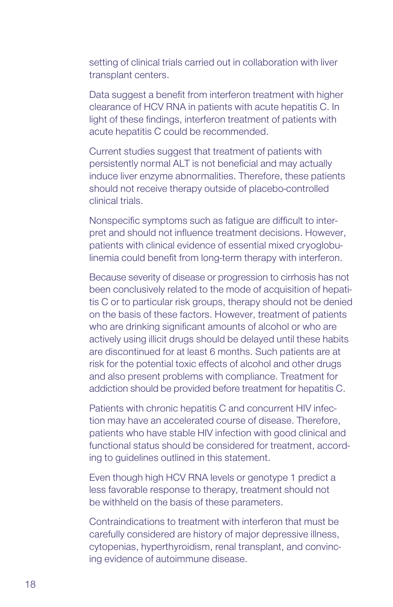setting of clinical trials carried out in collaboration with liver transplant centers.

Data suggest a benefit from interferon treatment with higher clearance of HCV RNA in patients with acute hepatitis C. In light of these findings, interferon treatment of patients with acute hepatitis C could be recommended.

Current studies suggest that treatment of patients with persistently normal ALT is not beneficial and may actually induce liver enzyme abnormalities. Therefore, these patients should not receive therapy outside of placebo-controlled clinical trials.

Nonspecific symptoms such as fatigue are difficult to interpret and should not influence treatment decisions. However, patients with clinical evidence of essential mixed cryoglobulinemia could benefit from long-term therapy with interferon.

Because severity of disease or progression to cirrhosis has not been conclusively related to the mode of acquisition of hepatitis C or to particular risk groups, therapy should not be denied on the basis of these factors. However, treatment of patients who are drinking significant amounts of alcohol or who are actively using illicit drugs should be delayed until these habits are discontinued for at least 6 months. Such patients are at risk for the potential toxic effects of alcohol and other drugs and also present problems with compliance. Treatment for addiction should be provided before treatment for hepatitis C.

Patients with chronic hepatitis C and concurrent HIV infection may have an accelerated course of disease. Therefore, patients who have stable HIV infection with good clinical and functional status should be considered for treatment, according to guidelines outlined in this statement.

Even though high HCV RNA levels or genotype 1 predict a less favorable response to therapy, treatment should not be withheld on the basis of these parameters.

Contraindications to treatment with interferon that must be carefully considered are history of major depressive illness, cytopenias, hyperthyroidism, renal transplant, and convincing evidence of autoimmune disease.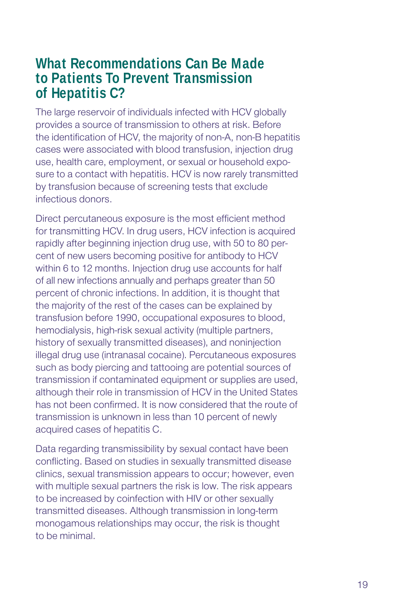## **What Recommendations Can Be Made to Patients To Prevent Transmission of Hepatitis C?**

The large reservoir of individuals infected with HCV globally provides a source of transmission to others at risk. Before the identification of HCV, the majority of non-A, non-B hepatitis cases were associated with blood transfusion, injection drug use, health care, employment, or sexual or household exposure to a contact with hepatitis. HCV is now rarely transmitted by transfusion because of screening tests that exclude infectious donors.

Direct percutaneous exposure is the most efficient method for transmitting HCV. In drug users, HCV infection is acquired rapidly after beginning injection drug use, with 50 to 80 percent of new users becoming positive for antibody to HCV within 6 to 12 months. Injection drug use accounts for half of all new infections annually and perhaps greater than 50 percent of chronic infections. In addition, it is thought that the majority of the rest of the cases can be explained by transfusion before 1990, occupational exposures to blood, hemodialysis, high-risk sexual activity (multiple partners, history of sexually transmitted diseases), and noninjection illegal drug use (intranasal cocaine). Percutaneous exposures such as body piercing and tattooing are potential sources of transmission if contaminated equipment or supplies are used, although their role in transmission of HCV in the United States has not been confirmed. It is now considered that the route of transmission is unknown in less than 10 percent of newly acquired cases of hepatitis C.

Data regarding transmissibility by sexual contact have been conflicting. Based on studies in sexually transmitted disease clinics, sexual transmission appears to occur; however, even with multiple sexual partners the risk is low. The risk appears to be increased by coinfection with HIV or other sexually transmitted diseases. Although transmission in long-term monogamous relationships may occur, the risk is thought to be minimal.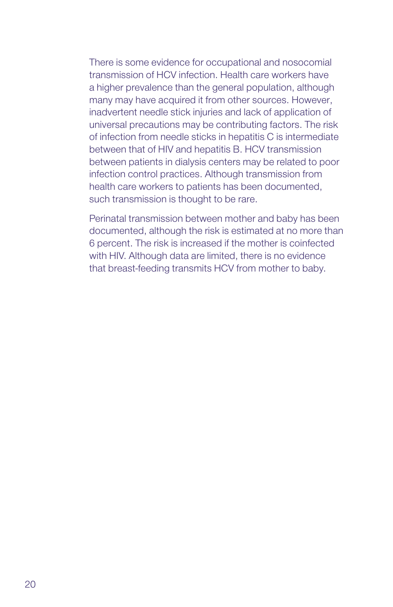There is some evidence for occupational and nosocomial transmission of HCV infection. Health care workers have a higher prevalence than the general population, although many may have acquired it from other sources. However, inadvertent needle stick injuries and lack of application of universal precautions may be contributing factors. The risk of infection from needle sticks in hepatitis C is intermediate between that of HIV and hepatitis B. HCV transmission between patients in dialysis centers may be related to poor infection control practices. Although transmission from health care workers to patients has been documented, such transmission is thought to be rare.

Perinatal transmission between mother and baby has been documented, although the risk is estimated at no more than 6 percent. The risk is increased if the mother is coinfected with HIV. Although data are limited, there is no evidence that breast-feeding transmits HCV from mother to baby.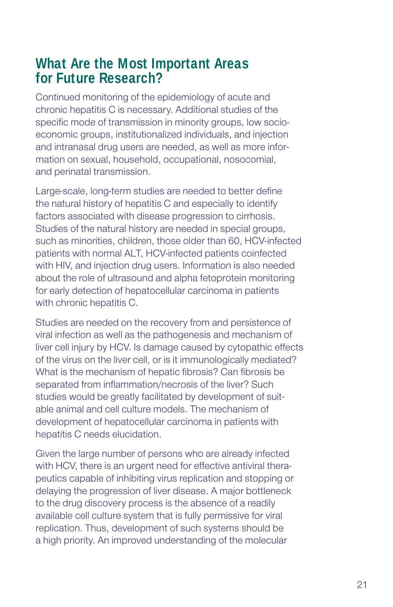## **What Are the Most Important Areas for Future Research?**

Continued monitoring of the epidemiology of acute and chronic hepatitis C is necessary. Additional studies of the specific mode of transmission in minority groups, low socioeconomic groups, institutionalized individuals, and injection and intranasal drug users are needed, as well as more information on sexual, household, occupational, nosocomial, and perinatal transmission.

Large-scale, long-term studies are needed to better define the natural history of hepatitis C and especially to identify factors associated with disease progression to cirrhosis. Studies of the natural history are needed in special groups, such as minorities, children, those older than 60, HCV-infected patients with normal ALT, HCV-infected patients coinfected with HIV, and injection drug users. Information is also needed about the role of ultrasound and alpha fetoprotein monitoring for early detection of hepatocellular carcinoma in patients with chronic hepatitis C.

Studies are needed on the recovery from and persistence of viral infection as well as the pathogenesis and mechanism of liver cell injury by HCV. Is damage caused by cytopathic effects of the virus on the liver cell, or is it immunologically mediated? What is the mechanism of hepatic fibrosis? Can fibrosis be separated from inflammation/necrosis of the liver? Such studies would be greatly facilitated by development of suitable animal and cell culture models. The mechanism of development of hepatocellular carcinoma in patients with hepatitis C needs elucidation.

Given the large number of persons who are already infected with HCV, there is an urgent need for effective antiviral therapeutics capable of inhibiting virus replication and stopping or delaying the progression of liver disease. A major bottleneck to the drug discovery process is the absence of a readily available cell culture system that is fully permissive for viral replication. Thus, development of such systems should be a high priority. An improved understanding of the molecular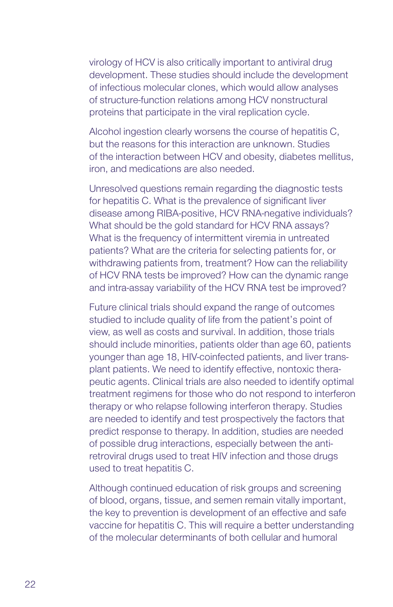virology of HCV is also critically important to antiviral drug development. These studies should include the development of infectious molecular clones, which would allow analyses of structure-function relations among HCV nonstructural proteins that participate in the viral replication cycle.

Alcohol ingestion clearly worsens the course of hepatitis C, but the reasons for this interaction are unknown. Studies of the interaction between HCV and obesity, diabetes mellitus, iron, and medications are also needed.

Unresolved questions remain regarding the diagnostic tests for hepatitis C. What is the prevalence of significant liver disease among RIBA-positive, HCV RNA-negative individuals? What should be the gold standard for HCV RNA assays? What is the frequency of intermittent viremia in untreated patients? What are the criteria for selecting patients for, or withdrawing patients from, treatment? How can the reliability of HCV RNA tests be improved? How can the dynamic range and intra-assay variability of the HCV RNA test be improved?

Future clinical trials should expand the range of outcomes studied to include quality of life from the patient's point of view, as well as costs and survival. In addition, those trials should include minorities, patients older than age 60, patients younger than age 18, HIV-coinfected patients, and liver transplant patients. We need to identify effective, nontoxic therapeutic agents. Clinical trials are also needed to identify optimal treatment regimens for those who do not respond to interferon therapy or who relapse following interferon therapy. Studies are needed to identify and test prospectively the factors that predict response to therapy. In addition, studies are needed of possible drug interactions, especially between the antiretroviral drugs used to treat HIV infection and those drugs used to treat hepatitis C.

Although continued education of risk groups and screening of blood, organs, tissue, and semen remain vitally important, the key to prevention is development of an effective and safe vaccine for hepatitis C. This will require a better understanding of the molecular determinants of both cellular and humoral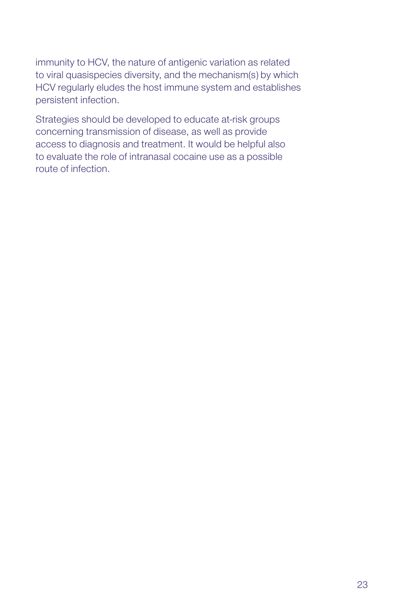immunity to HCV, the nature of antigenic variation as related to viral quasispecies diversity, and the mechanism(s) by which HCV regularly eludes the host immune system and establishes persistent infection.

Strategies should be developed to educate at-risk groups concerning transmission of disease, as well as provide access to diagnosis and treatment. It would be helpful also to evaluate the role of intranasal cocaine use as a possible route of infection.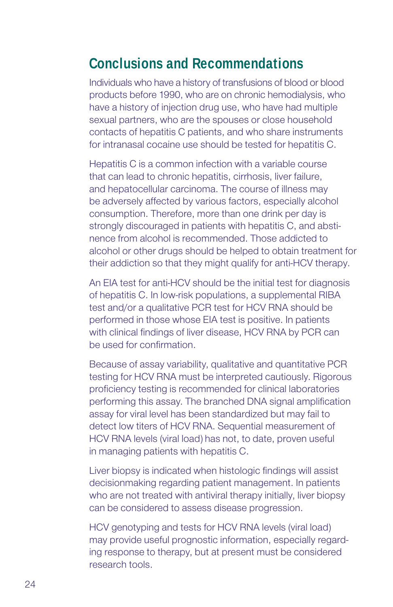## **Conclusions and Recommendations**

Individuals who have a history of transfusions of blood or blood products before 1990, who are on chronic hemodialysis, who have a history of injection drug use, who have had multiple sexual partners, who are the spouses or close household contacts of hepatitis C patients, and who share instruments for intranasal cocaine use should be tested for hepatitis C.

Hepatitis C is a common infection with a variable course that can lead to chronic hepatitis, cirrhosis, liver failure, and hepatocellular carcinoma. The course of illness may be adversely affected by various factors, especially alcohol consumption. Therefore, more than one drink per day is strongly discouraged in patients with hepatitis C, and abstinence from alcohol is recommended. Those addicted to alcohol or other drugs should be helped to obtain treatment for their addiction so that they might qualify for anti-HCV therapy.

An EIA test for anti-HCV should be the initial test for diagnosis of hepatitis C. In low-risk populations, a supplemental RIBA test and/or a qualitative PCR test for HCV RNA should be performed in those whose EIA test is positive. In patients with clinical findings of liver disease, HCV RNA by PCR can be used for confirmation.

Because of assay variability, qualitative and quantitative PCR testing for HCV RNA must be interpreted cautiously. Rigorous proficiency testing is recommended for clinical laboratories performing this assay. The branched DNA signal amplification assay for viral level has been standardized but may fail to detect low titers of HCV RNA. Sequential measurement of HCV RNA levels (viral load) has not, to date, proven useful in managing patients with hepatitis C.

Liver biopsy is indicated when histologic findings will assist decisionmaking regarding patient management. In patients who are not treated with antiviral therapy initially, liver biopsy can be considered to assess disease progression.

HCV genotyping and tests for HCV RNA levels (viral load) may provide useful prognostic information, especially regarding response to therapy, but at present must be considered research tools.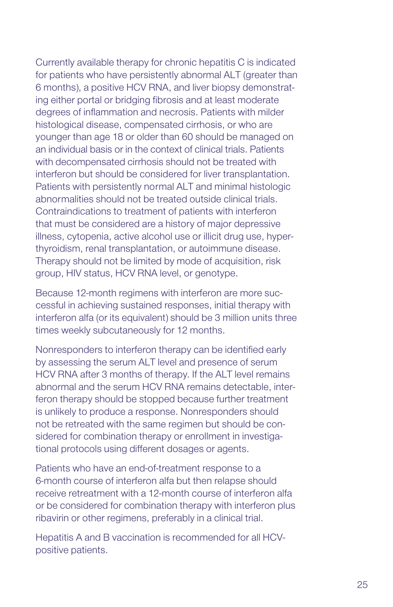Currently available therapy for chronic hepatitis C is indicated for patients who have persistently abnormal ALT (greater than 6 months), a positive HCV RNA, and liver biopsy demonstrating either portal or bridging fibrosis and at least moderate degrees of inflammation and necrosis. Patients with milder histological disease, compensated cirrhosis, or who are younger than age 18 or older than 60 should be managed on an individual basis or in the context of clinical trials. Patients with decompensated cirrhosis should not be treated with interferon but should be considered for liver transplantation. Patients with persistently normal ALT and minimal histologic abnormalities should not be treated outside clinical trials. Contraindications to treatment of patients with interferon that must be considered are a history of major depressive illness, cytopenia, active alcohol use or illicit drug use, hyperthyroidism, renal transplantation, or autoimmune disease. Therapy should not be limited by mode of acquisition, risk group, HIV status, HCV RNA level, or genotype.

Because 12-month regimens with interferon are more successful in achieving sustained responses, initial therapy with interferon alfa (or its equivalent) should be 3 million units three times weekly subcutaneously for 12 months.

Nonresponders to interferon therapy can be identified early by assessing the serum ALT level and presence of serum HCV RNA after 3 months of therapy. If the ALT level remains abnormal and the serum HCV RNA remains detectable, interferon therapy should be stopped because further treatment is unlikely to produce a response. Nonresponders should not be retreated with the same regimen but should be considered for combination therapy or enrollment in investigational protocols using different dosages or agents.

Patients who have an end-of-treatment response to a 6-month course of interferon alfa but then relapse should receive retreatment with a 12-month course of interferon alfa or be considered for combination therapy with interferon plus ribavirin or other regimens, preferably in a clinical trial.

Hepatitis A and B vaccination is recommended for all HCVpositive patients.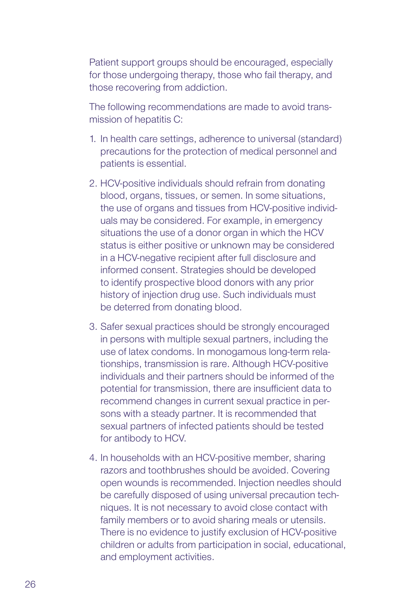Patient support groups should be encouraged, especially for those undergoing therapy, those who fail therapy, and those recovering from addiction.

The following recommendations are made to avoid transmission of hepatitis C:

- 1. In health care settings, adherence to universal (standard) precautions for the protection of medical personnel and patients is essential.
- 2. HCV-positive individuals should refrain from donating blood, organs, tissues, or semen. In some situations, the use of organs and tissues from HCV-positive individuals may be considered. For example, in emergency situations the use of a donor organ in which the HCV status is either positive or unknown may be considered in a HCV-negative recipient after full disclosure and informed consent. Strategies should be developed to identify prospective blood donors with any prior history of injection drug use. Such individuals must be deterred from donating blood.
- 3. Safer sexual practices should be strongly encouraged in persons with multiple sexual partners, including the use of latex condoms. In monogamous long-term relationships, transmission is rare. Although HCV-positive individuals and their partners should be informed of the potential for transmission, there are insufficient data to recommend changes in current sexual practice in persons with a steady partner. It is recommended that sexual partners of infected patients should be tested for antibody to HCV.
- 4. In households with an HCV-positive member, sharing razors and toothbrushes should be avoided. Covering open wounds is recommended. Injection needles should be carefully disposed of using universal precaution techniques. It is not necessary to avoid close contact with family members or to avoid sharing meals or utensils. There is no evidence to justify exclusion of HCV-positive children or adults from participation in social, educational, and employment activities.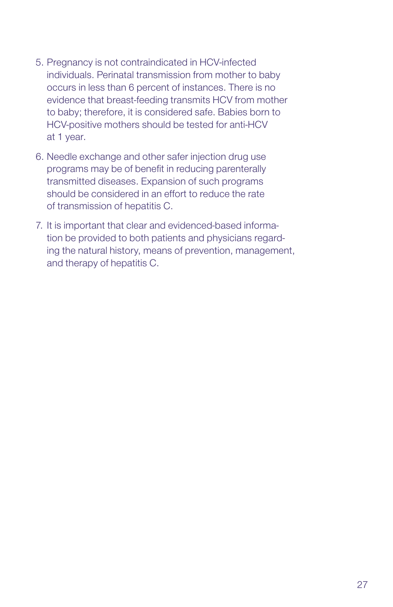- 5. Pregnancy is not contraindicated in HCV-infected individuals. Perinatal transmission from mother to baby occurs in less than 6 percent of instances. There is no evidence that breast-feeding transmits HCV from mother to baby; therefore, it is considered safe. Babies born to HCV-positive mothers should be tested for anti-HCV at 1 year.
- 6. Needle exchange and other safer injection drug use programs may be of benefit in reducing parenterally transmitted diseases. Expansion of such programs should be considered in an effort to reduce the rate of transmission of hepatitis C.
- 7. It is important that clear and evidenced-based information be provided to both patients and physicians regarding the natural history, means of prevention, management, and therapy of hepatitis C.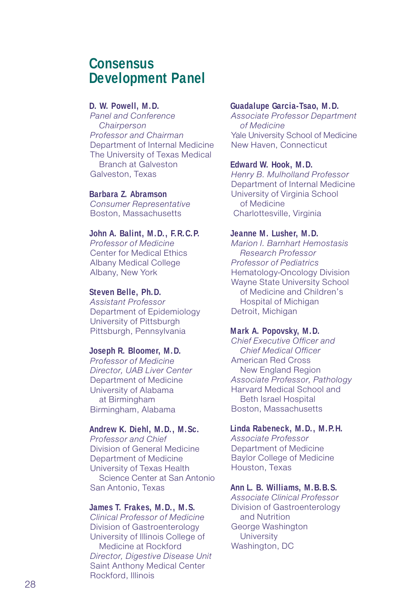## **Consensus Development Panel**

#### **D. W. Powell, M.D.**

Panel and Conference **Chairperson** Professor and Chairman Department of Internal Medicine The University of Texas Medical Branch at Galveston Galveston, Texas

#### **Barbara Z. Abramson**

Consumer Representative Boston, Massachusetts

**John A. Balint, M.D., F.R.C.P.**  Professor of Medicine Center for Medical Ethics Albany Medical College Albany, New York

#### **Steven Belle, Ph.D.**

Assistant Professor Department of Epidemiology University of Pittsburgh Pittsburgh, Pennsylvania

#### **Joseph R. Bloomer, M.D.**

Professor of Medicine Director, UAB Liver Center Department of Medicine University of Alabama at Birmingham Birmingham, Alabama

#### **Andrew K. Diehl, M.D., M.Sc.**

Professor and Chief Division of General Medicine Department of Medicine University of Texas Health Science Center at San Antonio San Antonio, Texas

#### **James T. Frakes, M.D., M.S.**

Clinical Professor of Medicine Division of Gastroenterology University of Illinois College of Medicine at Rockford Director, Digestive Disease Unit Saint Anthony Medical Center Rockford, Illinois

#### **Guadalupe Garcia-Tsao, M.D.**

Associate Professor Department of Medicine Yale University School of Medicine New Haven, Connecticut

#### **Edward W. Hook, M.D.**

Henry B. Mulholland Professor Department of Internal Medicine University of Virginia School of Medicine Charlottesville, Virginia

#### **Jeanne M. Lusher, M.D.**

Marion I. Barnhart Hemostasis Research Professor Professor of Pediatrics Hematology-Oncology Division Wayne State University School of Medicine and Children's Hospital of Michigan Detroit, Michigan

#### **Mark A. Popovsky, M.D.**

Chief Executive Officer and Chief Medical Officer American Red Cross New England Region Associate Professor, Pathology Harvard Medical School and Beth Israel Hospital Boston, Massachusetts

#### **Linda Rabeneck, M.D., M.P.H.**

Associate Professor Department of Medicine Baylor College of Medicine Houston, Texas

#### **Ann L. B. Williams, M.B.B.S.**

Associate Clinical Professor Division of Gastroenterology and Nutrition George Washington **University** Washington, DC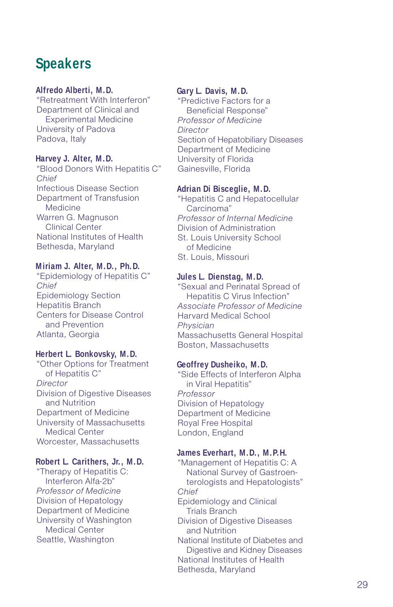## **Speakers**

#### **Alfredo Alberti, M.D.**

"Retreatment With Interferon" Department of Clinical and Experimental Medicine University of Padova Padova, Italy

#### **Harvey J. Alter, M.D.**

"Blood Donors With Hepatitis C" Chief Infectious Disease Section Department of Transfusion Medicine Warren G. Magnuson Clinical Center National Institutes of Health Bethesda, Maryland

#### **Miriam J. Alter, M.D., Ph.D.**

"Epidemiology of Hepatitis C" **Chief** Epidemiology Section Hepatitis Branch Centers for Disease Control and Prevention Atlanta, Georgia

#### **Herbert L. Bonkovsky, M.D.**

"Other Options for Treatment of Hepatitis C" **Director** Division of Digestive Diseases and Nutrition Department of Medicine University of Massachusetts Medical Center Worcester, Massachusetts

#### **Robert L. Carithers, Jr., M.D.**

"Therapy of Hepatitis C: Interferon Alfa-2b" Professor of Medicine Division of Hepatology Department of Medicine University of Washington Medical Center Seattle, Washington

#### **Gary L. Davis, M.D.**

"Predictive Factors for a Beneficial Response" Professor of Medicine **Director** Section of Hepatobiliary Diseases Department of Medicine University of Florida Gainesville, Florida

#### **Adrian Di Bisceglie, M.D.**

"Hepatitis C and Hepatocellular Carcinoma" Professor of Internal Medicine Division of Administration St. Louis University School of Medicine St. Louis, Missouri

#### **Jules L. Dienstag, M.D.**

"Sexual and Perinatal Spread of Hepatitis C Virus Infection" Associate Professor of Medicine Harvard Medical School Physician Massachusetts General Hospital Boston, Massachusetts

#### **Geoffrey Dusheiko, M.D.**

"Side Effects of Interferon Alpha in Viral Hepatitis" Professor Division of Hepatology Department of Medicine Royal Free Hospital London, England

#### **James Everhart, M.D., M.P.H.**

"Management of Hepatitis C: A National Survey of Gastroenterologists and Hepatologists" **Chief** Epidemiology and Clinical Trials Branch Division of Digestive Diseases and Nutrition National Institute of Diabetes and Digestive and Kidney Diseases National Institutes of Health Bethesda, Maryland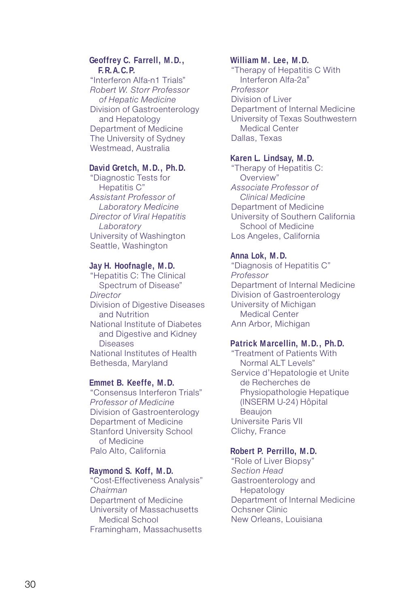#### **Geoffrey C. Farrell, M.D., F.R.A.C.P.**

"Interferon Alfa-n1 Trials" Robert W. Storr Professor of Hepatic Medicine Division of Gastroenterology and Hepatology Department of Medicine The University of Sydney Westmead, Australia

#### **David Gretch, M.D., Ph.D.**

"Diagnostic Tests for Hepatitis C" Assistant Professor of Laboratory Medicine Director of Viral Hepatitis **Laboratory** University of Washington Seattle, Washington

#### **Jay H. Hoofnagle, M.D.**

"Hepatitis C: The Clinical Spectrum of Disease" **Director** Division of Digestive Diseases and Nutrition National Institute of Diabetes and Digestive and Kidney Diseases National Institutes of Health Bethesda, Maryland

#### **Emmet B. Keeffe, M.D.**

"Consensus Interferon Trials" Professor of Medicine Division of Gastroenterology Department of Medicine Stanford University School of Medicine Palo Alto, California

#### **Raymond S. Koff, M.D.**

"Cost-Effectiveness Analysis" Chairman Department of Medicine University of Massachusetts Medical School Framingham, Massachusetts

#### **William M. Lee, M.D.**

"Therapy of Hepatitis C With Interferon Alfa-2a" Professor Division of Liver Department of Internal Medicine University of Texas Southwestern Medical Center Dallas, Texas

#### **Karen L. Lindsay, M.D.**

"Therapy of Hepatitis C: Overview" Associate Professor of Clinical Medicine Department of Medicine University of Southern California School of Medicine Los Angeles, California

#### **Anna Lok, M.D.**

"Diagnosis of Hepatitis C" Professor Department of Internal Medicine Division of Gastroenterology University of Michigan Medical Center Ann Arbor, Michigan

#### **Patrick Marcellin, M.D., Ph.D.**

"Treatment of Patients With Normal ALT Levels" Service d'Hepatologie et Unite de Recherches de Physiopathologie Hepatique (INSERM U-24) Hôpital Beaujon Universite Paris VII Clichy, France

#### **Robert P. Perrillo, M.D.**

"Role of Liver Biopsy" Section Head Gastroenterology and Hepatology Department of Internal Medicine Ochsner Clinic New Orleans, Louisiana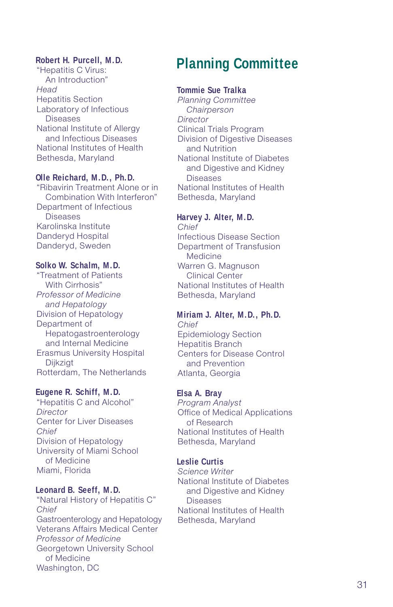#### **Robert H. Purcell, M.D.**

"Hepatitis C Virus: An Introduction" **Head** Hepatitis Section Laboratory of Infectious **Diseases** National Institute of Allergy and Infectious Diseases National Institutes of Health Bethesda, Maryland

#### **Olle Reichard, M.D., Ph.D.**

"Ribavirin Treatment Alone or in Combination With Interferon" Department of Infectious Diseases Karolinska Institute Danderyd Hospital Danderyd, Sweden

#### **Solko W. Schalm, M.D.**

"Treatment of Patients With Cirrhosis" Professor of Medicine and Hepatology Division of Hepatology Department of Hepatogastroenterology and Internal Medicine Erasmus University Hospital Dijkzigt Rotterdam, The Netherlands

#### **Eugene R. Schiff, M.D.**

"Hepatitis C and Alcohol" **Director** Center for Liver Diseases Chief Division of Hepatology University of Miami School of Medicine Miami, Florida

#### **Leonard B. Seeff, M.D.**

"Natural History of Hepatitis C" **Chief** Gastroenterology and Hepatology Veterans Affairs Medical Center Professor of Medicine Georgetown University School of Medicine Washington, DC

## **Planning Committee**

#### **Tommie Sue Tralka**

Planning Committee **Chairperson Director** Clinical Trials Program Division of Digestive Diseases and Nutrition National Institute of Diabetes and Digestive and Kidney **Diseases** National Institutes of Health Bethesda, Maryland

#### **Harvey J. Alter, M.D.**

Chief Infectious Disease Section Department of Transfusion Medicine Warren G. Magnuson Clinical Center National Institutes of Health Bethesda, Maryland

#### **Miriam J. Alter, M.D., Ph.D.**

Chief Epidemiology Section Hepatitis Branch Centers for Disease Control and Prevention Atlanta, Georgia

#### **Elsa A. Bray**

Program Analyst Office of Medical Applications of Research National Institutes of Health Bethesda, Maryland

#### **Leslie Curtis**

Science Writer National Institute of Diabetes and Digestive and Kidney Diseases National Institutes of Health Bethesda, Maryland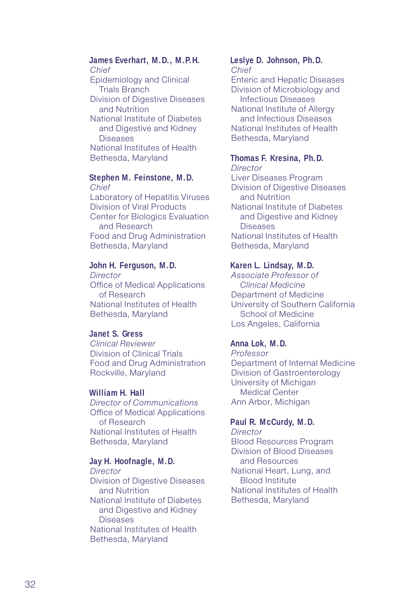#### **James Everhart, M.D., M.P.H.**  Chief

Epidemiology and Clinical Trials Branch Division of Digestive Diseases and Nutrition National Institute of Diabetes and Digestive and Kidney **Diseases** National Institutes of Health

Bethesda, Maryland

#### **Stephen M. Feinstone, M.D.**

**Chief** Laboratory of Hepatitis Viruses Division of Viral Products Center for Biologics Evaluation and Research Food and Drug Administration Bethesda, Maryland

#### **John H. Ferguson, M.D.**

**Director** Office of Medical Applications of Research National Institutes of Health Bethesda, Maryland

#### **Janet S. Gress**

Clinical Reviewer Division of Clinical Trials Food and Drug Administration Rockville, Maryland

#### **William H. Hall**

Director of Communications Office of Medical Applications of Research National Institutes of Health Bethesda, Maryland

#### **Jay H. Hoofnagle, M.D.**

**Director** Division of Digestive Diseases and Nutrition National Institute of Diabetes and Digestive and Kidney Diseases National Institutes of Health Bethesda, Maryland

#### **Leslye D. Johnson, Ph.D.**  Chief

Enteric and Hepatic Diseases Division of Microbiology and Infectious Diseases National Institute of Allergy and Infectious Diseases

National Institutes of Health Bethesda, Maryland

#### **Thomas F. Kresina, Ph.D.**

**Director** Liver Diseases Program Division of Digestive Diseases and Nutrition National Institute of Diabetes and Digestive and Kidney Diseases National Institutes of Health Bethesda, Maryland

#### **Karen L. Lindsay, M.D.**

Associate Professor of Clinical Medicine Department of Medicine University of Southern California School of Medicine Los Angeles, California

#### **Anna Lok, M.D.**

Professor Department of Internal Medicine Division of Gastroenterology University of Michigan Medical Center Ann Arbor, Michigan

#### **Paul R. McCurdy, M.D.**

**Director** Blood Resources Program Division of Blood Diseases and Resources National Heart, Lung, and Blood Institute National Institutes of Health Bethesda, Maryland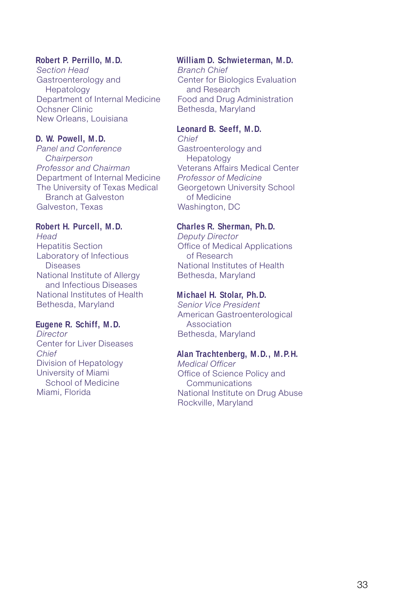#### **Robert P. Perrillo, M.D.**

Section Head Gastroenterology and Hepatology Department of Internal Medicine Ochsner Clinic New Orleans, Louisiana

#### **D. W. Powell, M.D.**

Panel and Conference **Chairperson** Professor and Chairman Department of Internal Medicine The University of Texas Medical Branch at Galveston Galveston, Texas

#### **Robert H. Purcell, M.D.**

**Head** Hepatitis Section Laboratory of Infectious Diseases National Institute of Allergy and Infectious Diseases National Institutes of Health Bethesda, Maryland

#### **Eugene R. Schiff, M.D.**

**Director** Center for Liver Diseases Chief Division of Hepatology University of Miami School of Medicine Miami, Florida

#### **William D. Schwieterman, M.D.**

Branch Chief Center for Biologics Evaluation and Research Food and Drug Administration Bethesda, Maryland

#### **Leonard B. Seeff, M.D.**

Chief Gastroenterology and Hepatology Veterans Affairs Medical Center Professor of Medicine Georgetown University School of Medicine Washington, DC

#### **Charles R. Sherman, Ph.D.**

Deputy Director Office of Medical Applications of Research National Institutes of Health Bethesda, Maryland

#### **Michael H. Stolar, Ph.D.**

Senior Vice President American Gastroenterological Association Bethesda, Maryland

#### **Alan Trachtenberg, M.D., M.P.H.**

Medical Officer Office of Science Policy and Communications National Institute on Drug Abuse Rockville, Maryland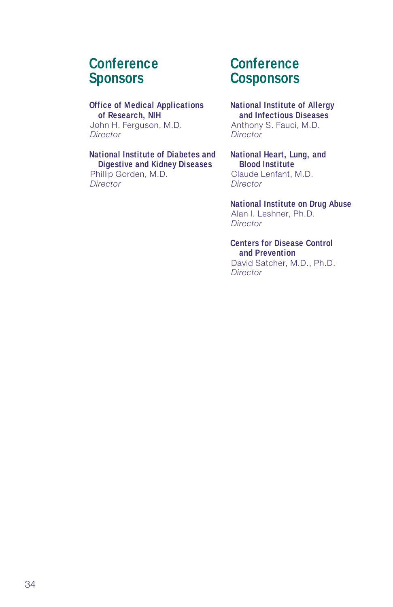## **Conference Sponsors**

#### **Office of Medical Applications of Research, NIH**

John H. Ferguson, M.D. **Director** 

#### **National Institute of Diabetes and Digestive and Kidney Diseases**

Phillip Gorden, M.D. **Director** 

## **Conference Cosponsors**

#### **National Institute of Allergy and Infectious Diseases**

Anthony S. Fauci, M.D. **Director** 

#### **National Heart, Lung, and Blood Institute**

Claude Lenfant, M.D. **Director** 

#### **National Institute on Drug Abuse**

Alan I. Leshner, Ph.D. **Director** 

#### **Centers for Disease Control and Prevention**

David Satcher, M.D., Ph.D. **Director**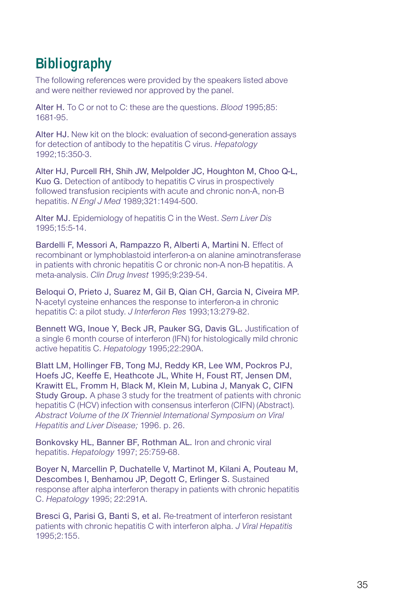## **Bibliography**

The following references were provided by the speakers listed above and were neither reviewed nor approved by the panel.

Alter H. To C or not to C: these are the questions. Blood 1995:85: 1681-95.

Alter HJ. New kit on the block: evaluation of second-generation assays for detection of antibody to the hepatitis C virus. Hepatology 1992;15:350-3.

Alter HJ, Purcell RH, Shih JW, Melpolder JC, Houghton M, Choo Q-L, Kuo G. Detection of antibody to hepatitis C virus in prospectively followed transfusion recipients with acute and chronic non-A, non-B hepatitis. N Engl J Med 1989;321:1494-500.

Alter MJ. Epidemiology of hepatitis C in the West. Sem Liver Dis 1995;15:5-14.

Bardelli F, Messori A, Rampazzo R, Alberti A, Martini N. Effect of recombinant or lymphoblastoid interferon-a on alanine aminotransferase in patients with chronic hepatitis C or chronic non-A non-B hepatitis. A meta-analysis. Clin Drug Invest 1995;9:239-54.

Beloqui O, Prieto J, Suarez M, Gil B, Qian CH, Garcia N, Civeira MP. N-acetyl cysteine enhances the response to interferon-a in chronic hepatitis C: a pilot study. J Interferon Res 1993;13:279-82.

Bennett WG, Inoue Y, Beck JR, Pauker SG, Davis GL. Justification of a single 6 month course of interferon (IFN) for histologically mild chronic active hepatitis C. Hepatology 1995;22:290A.

Blatt LM, Hollinger FB, Tong MJ, Reddy KR, Lee WM, Pockros PJ, Hoefs JC, Keeffe E, Heathcote JL, White H, Foust RT, Jensen DM, Krawitt EL, Fromm H, Black M, Klein M, Lubina J, Manyak C, CIFN Study Group. A phase 3 study for the treatment of patients with chronic hepatitis C (HCV) infection with consensus interferon (CIFN) (Abstract). Abstract Volume of the IX Trienniel International Symposium on Viral Hepatitis and Liver Disease; 1996. p. 26.

Bonkovsky HL, Banner BF, Rothman AL. Iron and chronic viral hepatitis. Hepatology 1997; 25:759-68.

Boyer N, Marcellin P, Duchatelle V, Martinot M, Kilani A, Pouteau M, Descombes I, Benhamou JP, Degott C, Erlinger S. Sustained response after alpha interferon therapy in patients with chronic hepatitis C. Hepatology 1995; 22:291A.

Bresci G, Parisi G, Banti S, et al. Re-treatment of interferon resistant patients with chronic hepatitis C with interferon alpha. J Viral Hepatitis 1995;2:155.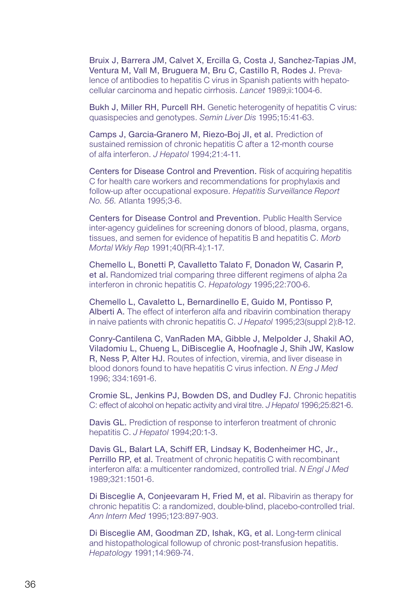Bruix J, Barrera JM, Calvet X, Ercilla G, Costa J, Sanchez-Tapias JM, Ventura M, Vall M, Bruguera M, Bru C, Castillo R, Rodes J. Prevalence of antibodies to hepatitis C virus in Spanish patients with hepatocellular carcinoma and hepatic cirrhosis. Lancet 1989;ii:1004-6.

Bukh J, Miller RH, Purcell RH. Genetic heterogenity of hepatitis C virus: quasispecies and genotypes. Semin Liver Dis 1995;15:41-63.

Camps J, Garcia-Granero M, Riezo-Boj JI, et al. Prediction of sustained remission of chronic hepatitis C after a 12-month course of alfa interferon. J Hepatol 1994;21:4-11.

Centers for Disease Control and Prevention. Risk of acquiring hepatitis C for health care workers and recommendations for prophylaxis and follow-up after occupational exposure. Hepatitis Surveillance Report No. 56. Atlanta 1995;3-6.

Centers for Disease Control and Prevention. Public Health Service inter-agency guidelines for screening donors of blood, plasma, organs, tissues, and semen for evidence of hepatitis B and hepatitis C. Morb Mortal Wkly Rep 1991;40(RR-4):1-17.

Chemello L, Bonetti P, Cavalletto Talato F, Donadon W, Casarin P, et al. Randomized trial comparing three different regimens of alpha 2a interferon in chronic hepatitis C. Hepatology 1995;22:700-6.

Chemello L, Cavaletto L, Bernardinello E, Guido M, Pontisso P, Alberti A. The effect of interferon alfa and ribavirin combination therapy in naive patients with chronic hepatitis C. J Hepatol 1995;23(suppl 2):8-12.

Conry-Cantilena C, VanRaden MA, Gibble J, Melpolder J, Shakil AO, Viladomiu L, Chueng L, DiBisceglie A, Hoofnagle J, Shih JW, Kaslow R, Ness P, Alter HJ. Routes of infection, viremia, and liver disease in blood donors found to have hepatitis C virus infection. N Eng J Med 1996; 334:1691-6.

Cromie SL, Jenkins PJ, Bowden DS, and Dudley FJ. Chronic hepatitis C: effect of alcohol on hepatic activity and viral titre. J Hepatol 1996;25:821-6.

Davis GL. Prediction of response to interferon treatment of chronic hepatitis C. J Hepatol 1994;20:1-3.

Davis GL, Balart LA, Schiff ER, Lindsay K, Bodenheimer HC, Jr., Perrillo RP, et al. Treatment of chronic hepatitis C with recombinant interferon alfa: a multicenter randomized, controlled trial. N Engl J Med 1989;321:1501-6.

Di Bisceglie A, Conjeevaram H, Fried M, et al. Ribavirin as therapy for chronic hepatitis C: a randomized, double-blind, placebo-controlled trial. Ann Intern Med 1995;123:897-903.

Di Bisceglie AM, Goodman ZD, Ishak, KG, et al. Long-term clinical and histopathological followup of chronic post-transfusion hepatitis. Hepatology 1991;14:969-74.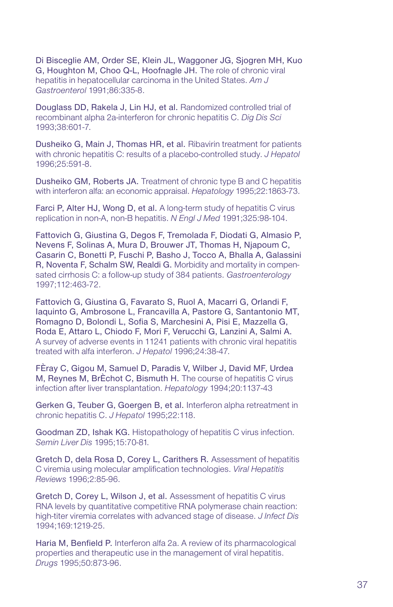Di Bisceglie AM, Order SE, Klein JL, Waggoner JG, Sjogren MH, Kuo G, Houghton M, Choo Q-L, Hoofnagle JH. The role of chronic viral hepatitis in hepatocellular carcinoma in the United States. Am J Gastroenterol 1991;86:335-8.

Douglass DD, Rakela J, Lin HJ, et al. Randomized controlled trial of recombinant alpha 2a-interferon for chronic hepatitis C. Dig Dis Sci 1993;38:601-7.

Dusheiko G, Main J, Thomas HR, et al. Ribavirin treatment for patients with chronic hepatitis C: results of a placebo-controlled study. J Hepatol 1996;25:591-8.

Dusheiko GM, Roberts JA. Treatment of chronic type B and C hepatitis with interferon alfa: an economic appraisal. Hepatology 1995;22:1863-73.

Farci P, Alter HJ, Wong D, et al. A long-term study of hepatitis C virus replication in non-A, non-B hepatitis. N Engl J Med 1991;325:98-104.

Fattovich G, Giustina G, Degos F, Tremolada F, Diodati G, Almasio P, Nevens F, Solinas A, Mura D, Brouwer JT, Thomas H, Njapoum C, Casarin C, Bonetti P, Fuschi P, Basho J, Tocco A, Bhalla A, Galassini R, Noventa F, Schalm SW, Realdi G. Morbidity and mortality in compensated cirrhosis C: a follow-up study of 384 patients. Gastroenterology 1997;112:463-72.

Fattovich G, Giustina G, Favarato S, Ruol A, Macarri G, Orlandi F, Iaquinto G, Ambrosone L, Francavilla A, Pastore G, Santantonio MT, Romagno D, Bolondi L, Sofia S, Marchesini A, Pisi E, Mazzella G, Roda E, Attaro L, Chiodo F, Mori F, Verucchi G, Lanzini A, Salmi A. A survey of adverse events in 11241 patients with chronic viral hepatitis treated with alfa interferon. J Hepatol 1996;24:38-47.

FÈray C, Gigou M, Samuel D, Paradis V, Wilber J, David MF, Urdea M, Reynes M, BrÈchot C, Bismuth H. The course of hepatitis C virus infection after liver transplantation. Hepatology 1994;20:1137-43

Gerken G, Teuber G, Goergen B, et al. Interferon alpha retreatment in chronic hepatitis C. J Hepatol 1995;22:118.

Goodman ZD, Ishak KG. Histopathology of hepatitis C virus infection. Semin Liver Dis 1995;15:70-81.

Gretch D, dela Rosa D, Corey L, Carithers R. Assessment of hepatitis C viremia using molecular amplification technologies. Viral Hepatitis Reviews 1996;2:85-96.

Gretch D, Corey L, Wilson J, et al. Assessment of hepatitis C virus RNA levels by quantitative competitive RNA polymerase chain reaction: high-titer viremia correlates with advanced stage of disease. J Infect Dis 1994;169:1219-25.

Haria M, Benfield P. Interferon alfa 2a. A review of its pharmacological properties and therapeutic use in the management of viral hepatitis. Drugs 1995;50:873-96.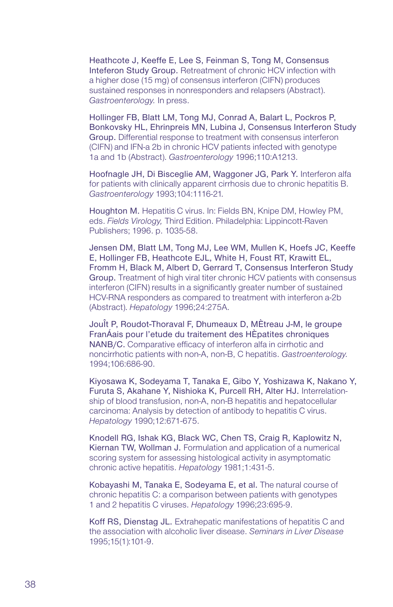Heathcote J, Keeffe E, Lee S, Feinman S, Tong M, Consensus Inteferon Study Group. Retreatment of chronic HCV infection with a higher dose (15 mg) of consensus interferon (CIFN) produces sustained responses in nonresponders and relapsers (Abstract). Gastroenterology. In press.

Hollinger FB, Blatt LM, Tong MJ, Conrad A, Balart L, Pockros P, Bonkovsky HL, Ehrinpreis MN, Lubina J, Consensus Interferon Study Group. Differential response to treatment with consensus interferon (CIFN) and IFN-a 2b in chronic HCV patients infected with genotype 1a and 1b (Abstract). Gastroenterology 1996;110:A1213.

Hoofnagle JH, Di Bisceglie AM, Waggoner JG, Park Y. Interferon alfa for patients with clinically apparent cirrhosis due to chronic hepatitis B. Gastroenterology 1993;104:1116-21.

Houghton M. Hepatitis C virus. In: Fields BN, Knipe DM, Howley PM, eds. Fields Virology, Third Edition. Philadelphia: Lippincott-Raven Publishers; 1996. p. 1035-58.

Jensen DM, Blatt LM, Tong MJ, Lee WM, Mullen K, Hoefs JC, Keeffe E, Hollinger FB, Heathcote EJL, White H, Foust RT, Krawitt EL, Fromm H, Black M, Albert D, Gerrard T, Consensus Interferon Study Group. Treatment of high viral titer chronic HCV patients with consensus interferon (CIFN) results in a significantly greater number of sustained HCV-RNA responders as compared to treatment with interferon a-2b (Abstract). Hepatology 1996;24:275A.

JouÎt P, Roudot-Thoraval F, Dhumeaux D, MÈtreau J-M, le groupe FranÁais pour l'etude du traitement des HÈpatites chroniques NANB/C. Comparative efficacy of interferon alfa in cirrhotic and noncirrhotic patients with non-A, non-B, C hepatitis. Gastroenterology. 1994;106:686-90.

Kiyosawa K, Sodeyama T, Tanaka E, Gibo Y, Yoshizawa K, Nakano Y, Furuta S, Akahane Y, Nishioka K, Purcell RH, Alter HJ. Interrelationship of blood transfusion, non-A, non-B hepatitis and hepatocellular carcinoma: Analysis by detection of antibody to hepatitis C virus. Hepatology 1990;12:671-675.

Knodell RG, Ishak KG, Black WC, Chen TS, Craig R, Kaplowitz N, Kiernan TW, Wollman J. Formulation and application of a numerical scoring system for assessing histological activity in asymptomatic chronic active hepatitis. Hepatology 1981;1:431-5.

Kobayashi M, Tanaka E, Sodeyama E, et al. The natural course of chronic hepatitis C: a comparison between patients with genotypes 1 and 2 hepatitis C viruses. Hepatology 1996;23:695-9.

Koff RS, Dienstag JL. Extrahepatic manifestations of hepatitis C and the association with alcoholic liver disease. Seminars in Liver Disease 1995;15(1):101-9.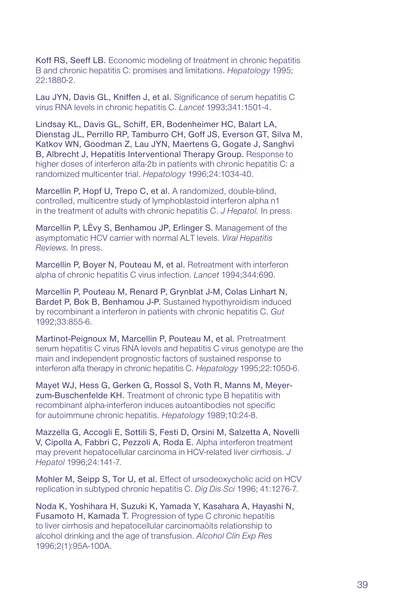Koff RS, Seeff LB. Economic modeling of treatment in chronic hepatitis B and chronic hepatitis C: promises and limitations. Hepatology 1995; 22:1880-2.

Lau JYN, Davis GL, Kniffen J, et al. Significance of serum hepatitis C virus RNA levels in chronic hepatitis C. Lancet 1993;341:1501-4.

Lindsay KL, Davis GL, Schiff, ER, Bodenheimer HC, Balart LA, Dienstag JL, Perrillo RP, Tamburro CH, Goff JS, Everson GT, Silva M, Katkov WN, Goodman Z, Lau JYN, Maertens G, Gogate J, Sanghvi B, Albrecht J, Hepatitis Interventional Therapy Group. Response to higher doses of interferon alfa-2b in patients with chronic hepatitis C: a randomized multicenter trial. Hepatology 1996;24:1034-40.

Marcellin P, Hopf U, Trepo C, et al. A randomized, double-blind, controlled, multicentre study of lymphoblastoid interferon alpha n1 in the treatment of adults with chronic hepatitis C. J Hepatol. In press.

Marcellin P, LÈvy S, Benhamou JP, Erlinger S. Management of the asymptomatic HCV carrier with normal ALT levels. Viral Hepatitis Reviews. In press.

Marcellin P, Boyer N, Pouteau M, et al. Retreatment with interferon alpha of chronic hepatitis C virus infection. Lancet 1994;344:690.

Marcellin P, Pouteau M, Renard P, Grynblat J-M, Colas Linhart N, Bardet P, Bok B, Benhamou J-P. Sustained hypothyroidism induced by recombinant a interferon in patients with chronic hepatitis C. Gut 1992;33:855-6.

Martinot-Peignoux M, Marcellin P, Pouteau M, et al. Pretreatment serum hepatitis C virus RNA levels and hepatitis C virus genotype are the main and independent prognostic factors of sustained response to interferon alfa therapy in chronic hepatitis C. Hepatology 1995;22:1050-6.

Mayet WJ, Hess G, Gerken G, Rossol S, Voth R, Manns M, Meyerzum-Buschenfelde KH. Treatment of chronic type B hepatitis with recombinant alpha-interferon induces autoantibodies not specific for autoimmune chronic hepatitis. Hepatology 1989;10:24-8.

Mazzella G, Accogli E, Sottili S, Festi D, Orsini M, Salzetta A, Novelli V, Cipolla A, Fabbri C, Pezzoli A, Roda E. Alpha interferon treatment may prevent hepatocellular carcinoma in HCV-related liver cirrhosis. J Hepatol 1996;24:141-7.

Mohler M, Seipp S, Tor U, et al. Effect of ursodeoxycholic acid on HCV replication in subtyped chronic hepatitis C. Dig Dis Sci 1996; 41:1276-7.

Noda K, Yoshihara H, Suzuki K, Yamada Y, Kasahara A, Hayashi N, Fusamoto H, Kamada T. Progression of type C chronic hepatitis to liver cirrhosis and hepatocellular carcinomaóits relationship to alcohol drinking and the age of transfusion. Alcohol Clin Exp Res 1996;2(1):95A-100A.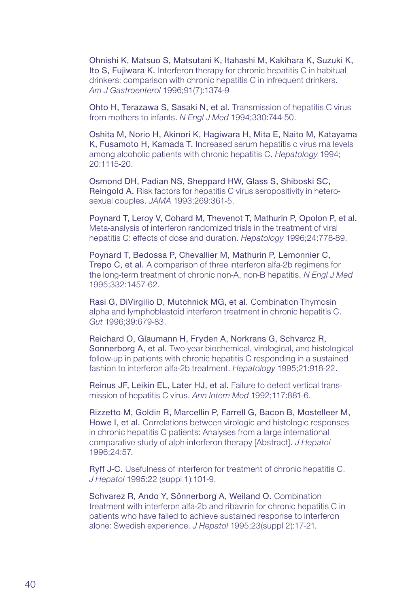Ohnishi K, Matsuo S, Matsutani K, Itahashi M, Kakihara K, Suzuki K, Ito S, Fujiwara K. Interferon therapy for chronic hepatitis C in habitual drinkers: comparison with chronic hepatitis C in infrequent drinkers. Am J Gastroenterol 1996;91(7):1374-9

Ohto H, Terazawa S, Sasaki N, et al. Transmission of hepatitis C virus from mothers to infants. N Engl J Med 1994;330:744-50.

Oshita M, Norio H, Akinori K, Hagiwara H, Mita E, Naito M, Katayama K, Fusamoto H, Kamada T. Increased serum hepatitis c virus rna levels among alcoholic patients with chronic hepatitis C. Hepatology 1994; 20:1115-20.

Osmond DH, Padian NS, Sheppard HW, Glass S, Shiboski SC, Reingold A. Risk factors for hepatitis C virus seropositivity in heterosexual couples. JAMA 1993;269:361-5.

Poynard T, Leroy V, Cohard M, Thevenot T, Mathurin P, Opolon P, et al. Meta-analysis of interferon randomized trials in the treatment of viral hepatitis C: effects of dose and duration. Hepatology 1996;24:778-89.

Poynard T, Bedossa P, Chevallier M, Mathurin P, Lemonnier C, Trepo C, et al. A comparison of three interferon alfa-2b regimens for the long-term treatment of chronic non-A, non-B hepatitis. N Engl J Med 1995;332:1457-62.

Rasi G, DiVirgilio D, Mutchnick MG, et al. Combination Thymosin alpha and lymphoblastoid interferon treatment in chronic hepatitis C. Gut 1996;39:679-83.

Reichard O, Glaumann H, Fryden A, Norkrans G, Schvarcz R, Sonnerborg A, et al. Two-year biochemical, virological, and histological follow-up in patients with chronic hepatitis C responding in a sustained fashion to interferon alfa-2b treatment. Hepatology 1995;21:918-22.

Reinus JF, Leikin EL, Later HJ, et al. Failure to detect vertical transmission of hepatitis C virus. Ann Intern Med 1992;117:881-6.

Rizzetto M, Goldin R, Marcellin P, Farrell G, Bacon B, Mostelleer M, Howe I, et al. Correlations between virologic and histologic responses in chronic hepatitis C patients: Analyses from a large international comparative study of alph-interferon therapy [Abstract]. J Hepatol 1996;24:57.

Ryff J-C. Usefulness of interferon for treatment of chronic hepatitis C. J Hepatol 1995:22 (suppl 1):101-9.

Schvarez R, Ando Y, Sônnerborg A, Weiland O. Combination treatment with interferon alfa-2b and ribavirin for chronic hepatitis C in patients who have failed to achieve sustained response to interferon alone: Swedish experience. J Hepatol 1995;23(suppl 2):17-21.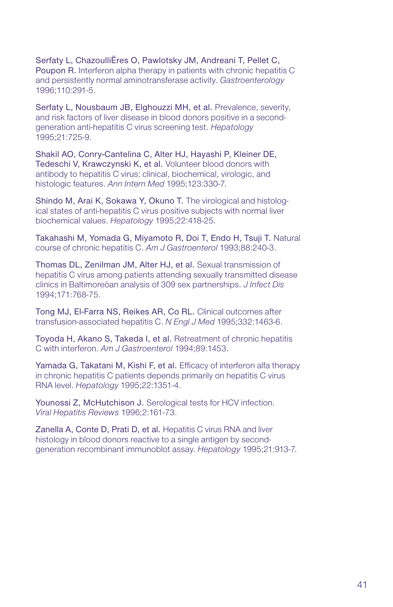Serfaty L, ChazoulliËres O, Pawlotsky JM, Andreani T, Pellet C, Poupon R. Interferon alpha therapy in patients with chronic hepatitis C and persistently normal aminotransferase activity. Gastroenterology 1996;110:291-5.

Serfaty L, Nousbaum JB, Elghouzzi MH, et al. Prevalence, severity, and risk factors of liver disease in blood donors positive in a secondgeneration anti-hepatitis C virus screening test. Hepatology 1995;21:725-9.

Shakil AO, Conry-Cantelina C, Alter HJ, Hayashi P, Kleiner DE, Tedeschi V, Krawczynski K, et al. Volunteer blood donors with antibody to hepatitis C virus: clinical, biochemical, virologic, and histologic features. Ann Intern Med 1995;123:330-7.

Shindo M, Arai K, Sokawa Y, Okuno T. The virological and histological states of anti-hepatitis C virus positive subjects with normal liver biochemical values. Hepatology 1995;22:418-25.

Takahashi M, Yomada G, Miyamoto R, Doi T, Endo H, Tsuji T. Natural course of chronic hepatitis C. Am J Gastroenterol 1993;88:240-3.

Thomas DL, Zenilman JM, Alter HJ, et al. Sexual transmission of hepatitis C virus among patients attending sexually transmitted disease clinics in Baltimoreóan analysis of 309 sex partnerships. J Infect Dis 1994;171:768-75.

Tong MJ, El-Farra NS, Reikes AR, Co RL. Clinical outcomes after transfusion-associated hepatitis C. N Engl J Med 1995;332:1463-6.

Toyoda H, Akano S, Takeda I, et al. Retreatment of chronic hepatitis C with interferon. Am J Gastroenterol 1994;89:1453.

Yamada G, Takatani M, Kishi F, et al. Efficacy of interferon alfa therapy in chronic hepatitis C patients depends primarily on hepatitis C virus RNA level. Hepatology 1995;22:1351-4.

Younossi Z, McHutchison J. Serological tests for HCV infection. Viral Hepatitis Reviews 1996;2:161-73.

Zanella A, Conte D, Prati D, et al. Hepatitis C virus RNA and liver histology in blood donors reactive to a single antigen by secondgeneration recombinant immunoblot assay. Hepatology 1995;21:913-7.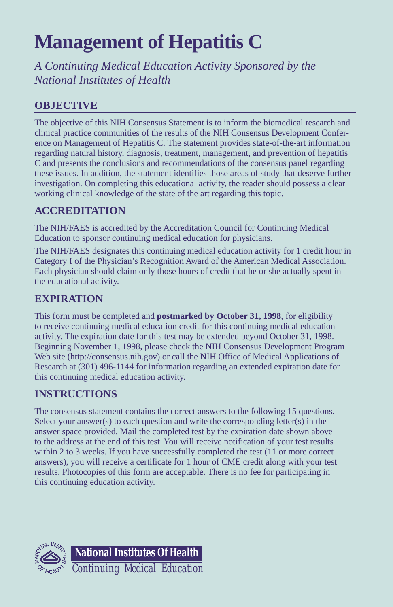# **Management of Hepatitis C**

*A Continuing Medical Education Activity Sponsored by the National Institutes of Health* 

### **OBJECTIVE**

The objective of this NIH Consensus Statement is to inform the biomedical research and clinical practice communities of the results of the NIH Consensus Development Conference on Management of Hepatitis C. The statement provides state-of-the-art information regarding natural history, diagnosis, treatment, management, and prevention of hepatitis C and presents the conclusions and recommendations of the consensus panel regarding these issues. In addition, the statement identifies those areas of study that deserve further investigation. On completing this educational activity, the reader should possess a clear working clinical knowledge of the state of the art regarding this topic.

### **ACCREDITATION**

The NIH/FAES is accredited by the Accreditation Council for Continuing Medical Education to sponsor continuing medical education for physicians.

The NIH/FAES designates this continuing medical education activity for 1 credit hour in Category I of the Physician's Recognition Award of the American Medical Association. Each physician should claim only those hours of credit that he or she actually spent in the educational activity.

### **EXPIRATION**

This form must be completed and **postmarked by October 31, 1998**, for eligibility to receive continuing medical education credit for this continuing medical education activity. The expiration date for this test may be extended beyond October 31, 1998. Beginning November 1, 1998, please check the NIH Consensus Development Program Web site (http://consensus.nih.gov) or call the NIH Office of Medical Applications of Research at (301) 496-1144 for information regarding an extended expiration date for this continuing medical education activity.

### **INSTRUCTIONS**

The consensus statement contains the correct answers to the following 15 questions. Select your answer(s) to each question and write the corresponding letter(s) in the answer space provided. Mail the completed test by the expiration date shown above to the address at the end of this test. You will receive notification of your test results within 2 to 3 weeks. If you have successfully completed the test (11 or more correct answers), you will receive a certificate for 1 hour of CME credit along with your test results. Photocopies of this form are acceptable. There is no fee for participating in this continuing education activity.

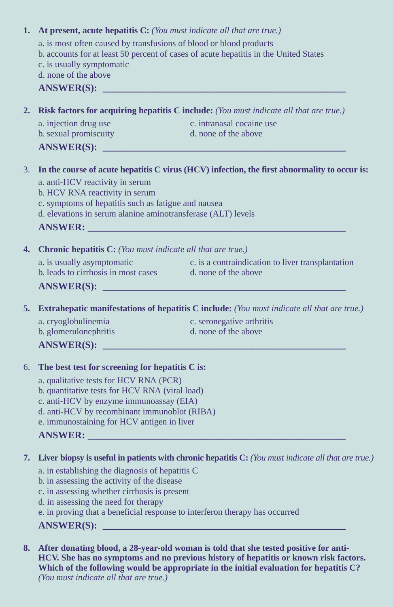|    | 1. At present, acute hepatitis C: (You must indicate all that are true.)                                                                                                                                                            |                                                                                                      |  |  |  |
|----|-------------------------------------------------------------------------------------------------------------------------------------------------------------------------------------------------------------------------------------|------------------------------------------------------------------------------------------------------|--|--|--|
|    | a. is most often caused by transfusions of blood or blood products<br>b. accounts for at least 50 percent of cases of acute hepatitis in the United States                                                                          |                                                                                                      |  |  |  |
|    | c. is usually symptomatic                                                                                                                                                                                                           |                                                                                                      |  |  |  |
|    | d, none of the above                                                                                                                                                                                                                |                                                                                                      |  |  |  |
|    | <b>ANSWER(S):</b>                                                                                                                                                                                                                   |                                                                                                      |  |  |  |
|    | 2. Risk factors for acquiring hepatitis C include: (You must indicate all that are true.)                                                                                                                                           |                                                                                                      |  |  |  |
|    | a. injection drug use                                                                                                                                                                                                               | c. intranasal cocaine use                                                                            |  |  |  |
|    | b. sexual promiscuity                                                                                                                                                                                                               | d, none of the above                                                                                 |  |  |  |
|    | <b>ANSWER(S):</b>                                                                                                                                                                                                                   |                                                                                                      |  |  |  |
|    |                                                                                                                                                                                                                                     | 3. In the course of acute hepatitis C virus (HCV) infection, the first abnormality to occur is:      |  |  |  |
|    | a. anti-HCV reactivity in serum                                                                                                                                                                                                     |                                                                                                      |  |  |  |
|    | b. HCV RNA reactivity in serum<br>c. symptoms of hepatitis such as fatigue and nausea                                                                                                                                               |                                                                                                      |  |  |  |
|    | d. elevations in serum alanine aminotransferase (ALT) levels                                                                                                                                                                        |                                                                                                      |  |  |  |
|    | <b>ANSWER:</b> A strategies of the strategies of the strategies of the strategies of the strategies of the strategies of the strategies of the strategies of the strategies of the strategies of the strategies of the strategies o |                                                                                                      |  |  |  |
| 4. | <b>Chronic hepatitis C:</b> (You must indicate all that are true.)                                                                                                                                                                  |                                                                                                      |  |  |  |
|    | a. is usually asymptomatic                                                                                                                                                                                                          | c. is a contraindication to liver transplantation                                                    |  |  |  |
|    | b. leads to cirrhosis in most cases<br><b>ANSWER(S):</b>                                                                                                                                                                            | d. none of the above                                                                                 |  |  |  |
|    |                                                                                                                                                                                                                                     |                                                                                                      |  |  |  |
|    |                                                                                                                                                                                                                                     | <b>5.</b> Extrahepatic manifestations of hepatitis C include: (You must indicate all that are true.) |  |  |  |
|    | a. cryoglobulinemia                                                                                                                                                                                                                 | c. seronegative arthritis<br>d. none of the above                                                    |  |  |  |
|    | b. glomerulonephritis<br><b>ANSWER(S):</b>                                                                                                                                                                                          |                                                                                                      |  |  |  |
|    |                                                                                                                                                                                                                                     |                                                                                                      |  |  |  |
| 6. |                                                                                                                                                                                                                                     | The best test for screening for hepatitis C is:                                                      |  |  |  |
|    | a. qualitative tests for HCV RNA (PCR)<br>b. quantitative tests for HCV RNA (viral load)                                                                                                                                            |                                                                                                      |  |  |  |
|    | c. anti-HCV by enzyme immunoassay (EIA)                                                                                                                                                                                             |                                                                                                      |  |  |  |
|    | d. anti-HCV by recombinant immunoblot (RIBA)                                                                                                                                                                                        |                                                                                                      |  |  |  |
|    | e. immunostaining for HCV antigen in liver<br>ANSWER: New York Street, 1988                                                                                                                                                         |                                                                                                      |  |  |  |
|    |                                                                                                                                                                                                                                     |                                                                                                      |  |  |  |
|    | 7. Liver biopsy is useful in patients with chronic hepatitis C: (You must indicate all that are true.)                                                                                                                              |                                                                                                      |  |  |  |
|    | a. in establishing the diagnosis of hepatitis C<br>b. in assessing the activity of the disease                                                                                                                                      |                                                                                                      |  |  |  |
|    | c. in assessing whether cirrhosis is present                                                                                                                                                                                        |                                                                                                      |  |  |  |
|    | d. in assessing the need for therapy                                                                                                                                                                                                |                                                                                                      |  |  |  |
|    | e. in proving that a beneficial response to interferon therapy has occurred                                                                                                                                                         |                                                                                                      |  |  |  |
|    | <b>ANSWER(S):</b>                                                                                                                                                                                                                   |                                                                                                      |  |  |  |
| 8. |                                                                                                                                                                                                                                     | After donating blood, a 28-year-old woman is told that she tested positive for anti-                 |  |  |  |

**HCV. She has no symptoms and no previous history of hepatitis or known risk factors. Which of the following would be appropriate in the initial evaluation for hepatitis C?**  *(You must indicate all that are true.)*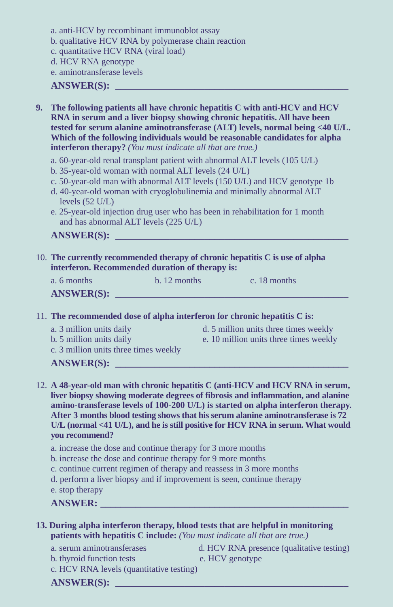| b. qualitative HCV RNA by polymerase chain reaction<br>c. quantitative HCV RNA (viral load)<br>d. HCV RNA genotype<br>e. aminotransferase levels<br><b>ANSWER(S):</b><br>9.<br>The following patients all have chronic hepatitis C with anti-HCV and HCV<br>RNA in serum and a liver biopsy showing chronic hepatitis. All have been<br>tested for serum alanine aminotransferase (ALT) levels, normal being <40 U/L.<br>Which of the following individuals would be reasonable candidates for alpha<br>interferon therapy? (You must indicate all that are true.)<br>a. 60-year-old renal transplant patient with abnormal ALT levels (105 U/L)<br>b. 35-year-old woman with normal ALT levels (24 U/L)<br>c. 50-year-old man with abnormal ALT levels (150 U/L) and HCV genotype 1b<br>d. 40-year-old woman with cryoglobulinemia and minimally abnormal ALT<br>levels $(52 \text{ U/L})$<br>e. 25-year-old injection drug user who has been in rehabilitation for 1 month<br>and has abnormal ALT levels (225 U/L)<br><b>ANSWER(S):</b><br>interferon. Recommended duration of therapy is:<br>a. 6 months<br>b. 12 months<br>c. 18 months<br><b>ANSWER(S):</b><br>11. The recommended dose of alpha interferon for chronic hepatitis C is:<br>d. 5 million units three times weekly<br>a. 3 million units daily<br>b. 5 million units daily<br>e. 10 million units three times weekly<br>c. 3 million units three times weekly<br><b>ANSWER(S):</b> |                                                                              |  |  |  |  |
|--------------------------------------------------------------------------------------------------------------------------------------------------------------------------------------------------------------------------------------------------------------------------------------------------------------------------------------------------------------------------------------------------------------------------------------------------------------------------------------------------------------------------------------------------------------------------------------------------------------------------------------------------------------------------------------------------------------------------------------------------------------------------------------------------------------------------------------------------------------------------------------------------------------------------------------------------------------------------------------------------------------------------------------------------------------------------------------------------------------------------------------------------------------------------------------------------------------------------------------------------------------------------------------------------------------------------------------------------------------------------------------------------------------------------------------------------------|------------------------------------------------------------------------------|--|--|--|--|
|                                                                                                                                                                                                                                                                                                                                                                                                                                                                                                                                                                                                                                                                                                                                                                                                                                                                                                                                                                                                                                                                                                                                                                                                                                                                                                                                                                                                                                                        |                                                                              |  |  |  |  |
|                                                                                                                                                                                                                                                                                                                                                                                                                                                                                                                                                                                                                                                                                                                                                                                                                                                                                                                                                                                                                                                                                                                                                                                                                                                                                                                                                                                                                                                        |                                                                              |  |  |  |  |
|                                                                                                                                                                                                                                                                                                                                                                                                                                                                                                                                                                                                                                                                                                                                                                                                                                                                                                                                                                                                                                                                                                                                                                                                                                                                                                                                                                                                                                                        |                                                                              |  |  |  |  |
|                                                                                                                                                                                                                                                                                                                                                                                                                                                                                                                                                                                                                                                                                                                                                                                                                                                                                                                                                                                                                                                                                                                                                                                                                                                                                                                                                                                                                                                        |                                                                              |  |  |  |  |
|                                                                                                                                                                                                                                                                                                                                                                                                                                                                                                                                                                                                                                                                                                                                                                                                                                                                                                                                                                                                                                                                                                                                                                                                                                                                                                                                                                                                                                                        |                                                                              |  |  |  |  |
|                                                                                                                                                                                                                                                                                                                                                                                                                                                                                                                                                                                                                                                                                                                                                                                                                                                                                                                                                                                                                                                                                                                                                                                                                                                                                                                                                                                                                                                        |                                                                              |  |  |  |  |
|                                                                                                                                                                                                                                                                                                                                                                                                                                                                                                                                                                                                                                                                                                                                                                                                                                                                                                                                                                                                                                                                                                                                                                                                                                                                                                                                                                                                                                                        |                                                                              |  |  |  |  |
|                                                                                                                                                                                                                                                                                                                                                                                                                                                                                                                                                                                                                                                                                                                                                                                                                                                                                                                                                                                                                                                                                                                                                                                                                                                                                                                                                                                                                                                        |                                                                              |  |  |  |  |
|                                                                                                                                                                                                                                                                                                                                                                                                                                                                                                                                                                                                                                                                                                                                                                                                                                                                                                                                                                                                                                                                                                                                                                                                                                                                                                                                                                                                                                                        |                                                                              |  |  |  |  |
|                                                                                                                                                                                                                                                                                                                                                                                                                                                                                                                                                                                                                                                                                                                                                                                                                                                                                                                                                                                                                                                                                                                                                                                                                                                                                                                                                                                                                                                        |                                                                              |  |  |  |  |
|                                                                                                                                                                                                                                                                                                                                                                                                                                                                                                                                                                                                                                                                                                                                                                                                                                                                                                                                                                                                                                                                                                                                                                                                                                                                                                                                                                                                                                                        | 10. The currently recommended therapy of chronic hepatitis C is use of alpha |  |  |  |  |
|                                                                                                                                                                                                                                                                                                                                                                                                                                                                                                                                                                                                                                                                                                                                                                                                                                                                                                                                                                                                                                                                                                                                                                                                                                                                                                                                                                                                                                                        |                                                                              |  |  |  |  |
|                                                                                                                                                                                                                                                                                                                                                                                                                                                                                                                                                                                                                                                                                                                                                                                                                                                                                                                                                                                                                                                                                                                                                                                                                                                                                                                                                                                                                                                        |                                                                              |  |  |  |  |
|                                                                                                                                                                                                                                                                                                                                                                                                                                                                                                                                                                                                                                                                                                                                                                                                                                                                                                                                                                                                                                                                                                                                                                                                                                                                                                                                                                                                                                                        |                                                                              |  |  |  |  |
|                                                                                                                                                                                                                                                                                                                                                                                                                                                                                                                                                                                                                                                                                                                                                                                                                                                                                                                                                                                                                                                                                                                                                                                                                                                                                                                                                                                                                                                        |                                                                              |  |  |  |  |
|                                                                                                                                                                                                                                                                                                                                                                                                                                                                                                                                                                                                                                                                                                                                                                                                                                                                                                                                                                                                                                                                                                                                                                                                                                                                                                                                                                                                                                                        |                                                                              |  |  |  |  |
|                                                                                                                                                                                                                                                                                                                                                                                                                                                                                                                                                                                                                                                                                                                                                                                                                                                                                                                                                                                                                                                                                                                                                                                                                                                                                                                                                                                                                                                        |                                                                              |  |  |  |  |
|                                                                                                                                                                                                                                                                                                                                                                                                                                                                                                                                                                                                                                                                                                                                                                                                                                                                                                                                                                                                                                                                                                                                                                                                                                                                                                                                                                                                                                                        |                                                                              |  |  |  |  |
| 12. A 48-year-old man with chronic hepatitis C (anti-HCV and HCV RNA in serum,<br>liver biopsy showing moderate degrees of fibrosis and inflammation, and alanine<br>amino-transferase levels of 100-200 U/L) is started on alpha interferon therapy.<br>After 3 months blood testing shows that his serum alanine aminotransferase is 72<br>U/L (normal <41 U/L), and he is still positive for HCV RNA in serum. What would<br>vou recommend?                                                                                                                                                                                                                                                                                                                                                                                                                                                                                                                                                                                                                                                                                                                                                                                                                                                                                                                                                                                                         |                                                                              |  |  |  |  |
| a. increase the dose and continue therapy for 3 more months                                                                                                                                                                                                                                                                                                                                                                                                                                                                                                                                                                                                                                                                                                                                                                                                                                                                                                                                                                                                                                                                                                                                                                                                                                                                                                                                                                                            |                                                                              |  |  |  |  |
| b. increase the dose and continue therapy for 9 more months<br>c. continue current regimen of therapy and reassess in 3 more months                                                                                                                                                                                                                                                                                                                                                                                                                                                                                                                                                                                                                                                                                                                                                                                                                                                                                                                                                                                                                                                                                                                                                                                                                                                                                                                    |                                                                              |  |  |  |  |
| d. perform a liver biopsy and if improvement is seen, continue therapy<br>e. stop therapy                                                                                                                                                                                                                                                                                                                                                                                                                                                                                                                                                                                                                                                                                                                                                                                                                                                                                                                                                                                                                                                                                                                                                                                                                                                                                                                                                              |                                                                              |  |  |  |  |
| <b>ANSWER:</b>                                                                                                                                                                                                                                                                                                                                                                                                                                                                                                                                                                                                                                                                                                                                                                                                                                                                                                                                                                                                                                                                                                                                                                                                                                                                                                                                                                                                                                         |                                                                              |  |  |  |  |
|                                                                                                                                                                                                                                                                                                                                                                                                                                                                                                                                                                                                                                                                                                                                                                                                                                                                                                                                                                                                                                                                                                                                                                                                                                                                                                                                                                                                                                                        |                                                                              |  |  |  |  |
| 13. During alpha interferon therapy, blood tests that are helpful in monitoring<br>patients with hepatitis C include: (You must indicate all that are true.)                                                                                                                                                                                                                                                                                                                                                                                                                                                                                                                                                                                                                                                                                                                                                                                                                                                                                                                                                                                                                                                                                                                                                                                                                                                                                           |                                                                              |  |  |  |  |
| a. serum aminotransferases<br>d. HCV RNA presence (qualitative testing)<br>b. thyroid function tests<br>e. HCV genotype                                                                                                                                                                                                                                                                                                                                                                                                                                                                                                                                                                                                                                                                                                                                                                                                                                                                                                                                                                                                                                                                                                                                                                                                                                                                                                                                |                                                                              |  |  |  |  |

c. HCV RNA levels (quantitative testing)

**ANSWER(S): \_\_\_\_\_\_\_\_\_\_\_\_\_\_\_\_\_\_\_\_\_\_\_\_\_\_\_\_\_\_\_\_\_\_\_\_\_\_\_\_\_\_\_\_\_\_\_**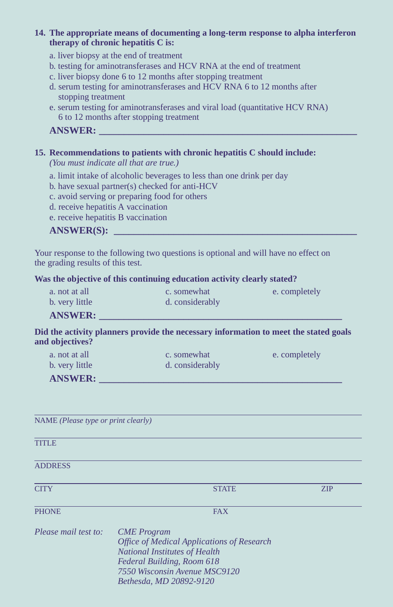#### **14. The appropriate means of documenting a long-term response to alpha interferon therapy of chronic hepatitis C is:**

- a. liver biopsy at the end of treatment
- b. testing for aminotransferases and HCV RNA at the end of treatment
- c. liver biopsy done 6 to 12 months after stopping treatment
- d. serum testing for aminotransferases and HCV RNA 6 to 12 months after stopping treatment
- e. serum testing for aminotransferases and viral load (quantitative HCV RNA) 6 to 12 months after stopping treatment

| <b>ANSWER:</b> |  |
|----------------|--|
|----------------|--|

#### **15. Recommendations to patients with chronic hepatitis C should include:**

*(You must indicate all that are true.)* 

- a. limit intake of alcoholic beverages to less than one drink per day
- b. have sexual partner(s) checked for anti-HCV
- c. avoid serving or preparing food for others
- d. receive hepatitis A vaccination
- e. receive hepatitis B vaccination

#### **ANSWER(S): \_\_\_\_\_\_\_\_\_\_\_\_\_\_\_\_\_\_\_\_\_\_\_\_\_\_\_\_\_\_\_\_\_\_\_\_\_\_\_\_\_\_\_\_\_\_\_\_\_**

Your response to the following two questions is optional and will have no effect on the grading results of this test.

#### **Was the objective of this continuing education activity clearly stated?**

| a. not at all  | c. somewhat     | e. completely |
|----------------|-----------------|---------------|
| b. very little | d. considerably |               |
| <b>ANSWER:</b> |                 |               |

**Did the activity planners provide the necessary information to meet the stated goals and objectives?** 

| a. not at all  | c. somewhat     | e. completely |
|----------------|-----------------|---------------|
| b. very little | d. considerably |               |
| <b>ANSWER:</b> |                 |               |

NAME *(Please type or print clearly)* 

**TITLE** ADDRESS CITY **STATE STATE** *ZIP* PHONE FAX *Please mail test to: CME Program Office of Medical Applications of Research National Institutes of Health Federal Building, Room 618 7550 Wisconsin Avenue MSC9120 Bethesda, MD 20892-9120*